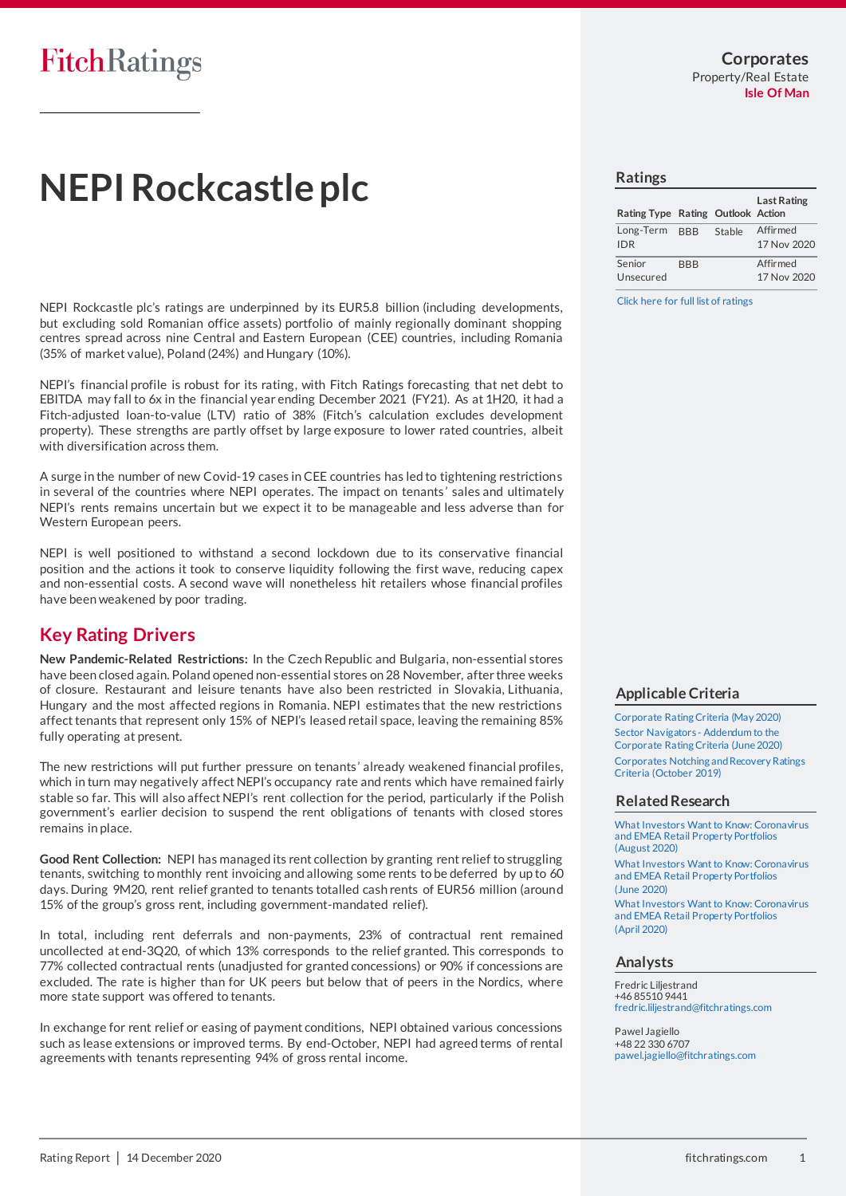# **NEPI Rockcastle plc**

NEPI Rockcastle plc's ratings are underpinned by its EUR5.8 billion (including developments, but excluding sold Romanian office assets) portfolio of mainly regionally dominant shopping centres spread across nine Central and Eastern European (CEE) countries, including Romania (35% of market value), Poland (24%) and Hungary (10%).

NEPI's financial profile is robust for its rating, with Fitch Ratings forecasting that net debt to EBITDA may fall to 6x in the financial year ending December 2021 (FY21). As at 1H20, it had a Fitch-adjusted loan-to-value (LTV) ratio of 38% (Fitch's calculation excludes development property). These strengths are partly offset by large exposure to lower rated countries, albeit with diversification across them.

A surge in the number of new Covid-19 cases in CEE countries has led to tightening restrictions in several of the countries where NEPI operates. The impact on tenants' sales and ultimately NEPI's rents remains uncertain but we expect it to be manageable and less adverse than for Western European peers.

NEPI is well positioned to withstand a second lockdown due to its conservative financial position and the actions it took to conserve liquidity following the first wave, reducing capex and non-essential costs. A second wave will nonetheless hit retailers whose financial profiles have been weakened by poor trading.

## **Key Rating Drivers**

**New Pandemic-Related Restrictions:** In the Czech Republic and Bulgaria, non-essential stores have been closed again. Poland opened non-essential stores on 28 November, after three weeks of closure. Restaurant and leisure tenants have also been restricted in Slovakia, Lithuania, Hungary and the most affected regions in Romania. NEPI estimates that the new restrictions affect tenants that represent only 15% of NEPI's leased retail space, leaving the remaining 85% fully operating at present.

The new restrictions will put further pressure on tenants' already weakened financial profiles, which in turn may negatively affect NEPI's occupancy rate and rents which have remained fairly stable so far. This will also affect NEPI's rent collection for the period, particularly if the Polish government's earlier decision to suspend the rent obligations of tenants with closed stores remains in place.

**Good Rent Collection:** NEPI has managed its rent collection by granting rent relief to struggling tenants, switching to monthly rent invoicing and allowing some rents to be deferred by up to 60 days. During 9M20, rent relief granted to tenants totalled cash rents of EUR56 million (around 15% of the group's gross rent, including government-mandated relief).

In total, including rent deferrals and non-payments, 23% of contractual rent remained uncollected at end-3Q20, of which 13% corresponds to the relief granted. This corresponds to 77% collected contractual rents (unadjusted for granted concessions) or 90% if concessions are excluded. The rate is higher than for UK peers but below that of peers in the Nordics, where more state support was offered to tenants.

In exchange for rent relief or easing of payment conditions, NEPI obtained various concessions such as lease extensions or improved terms. By end-October, NEPI had agreed terms of rental agreements with tenants representing 94% of gross rental income.

### **Ratings**

| Rating Type Rating Outlook Action |            |        | <b>Last Rating</b>      |
|-----------------------------------|------------|--------|-------------------------|
| Long-Term BBB<br><b>IDR</b>       |            | Stable | Affirmed<br>17 Nov 2020 |
| Senior<br>Unsecured               | <b>RRR</b> |        | Affirmed<br>17 Nov 2020 |

[Click here for full list of ratings](https://www.fitchratings.com/entity/nepi-rockcastle-plc-96565755)

### **Applicable Criteria**

[Corporate Rating Criteria \(May 2020\)](https://app.fitchconnect.com/search/research/article/RPT_10120170) [Sector Navigators -](https://app.fitchconnect.com/search/research/article/RPT_10125796) Addendum to the [Corporate Rating Criteria \(June 2020\)](https://app.fitchconnect.com/search/research/article/RPT_10125796) [Corporates Notching and Recovery Ratings](https://app.fitchconnect.com/search/research/article/RPT_10090792)  [Criteria \(October 2019\)](https://app.fitchconnect.com/search/research/article/RPT_10090792)

### **Related Research**

[What Investors Want to Know: Coronavirus](https://app.fitchconnect.com/search/research/article/RPT_10133330)  [and EMEA Retail Property Portfolios](https://app.fitchconnect.com/search/research/article/RPT_10133330)  [\(August 2020\)](https://app.fitchconnect.com/search/research/article/RPT_10133330) [What Investors Want to Know: Coronavirus](https://app.fitchconnect.com/search/research/article/RPT_10124712)  [and EMEA Retail Property Portfolios](https://app.fitchconnect.com/search/research/article/RPT_10124712)  [\(June 2020\)](https://app.fitchconnect.com/search/research/article/RPT_10124712) [What Investors Want to Know: Coronavirus](https://app.fitchconnect.com/search/research/article/RPT_10119300)  [and EMEA Retail Property Portfolios](https://app.fitchconnect.com/search/research/article/RPT_10119300)  [\(April 2020\)](https://app.fitchconnect.com/search/research/article/RPT_10119300)

### **Analysts**

Fredric Liljestrand +46 85510 9441 [fredric.liljestrand@fitchratings.com](mailto:%20fredric.liljestrand@fitchratings.com)

Pawel Jagiello +48 22 330 6707 [pawel.jagiello@fitchratings.com](mailto:%20pawel.jagiello@fitchratings.com)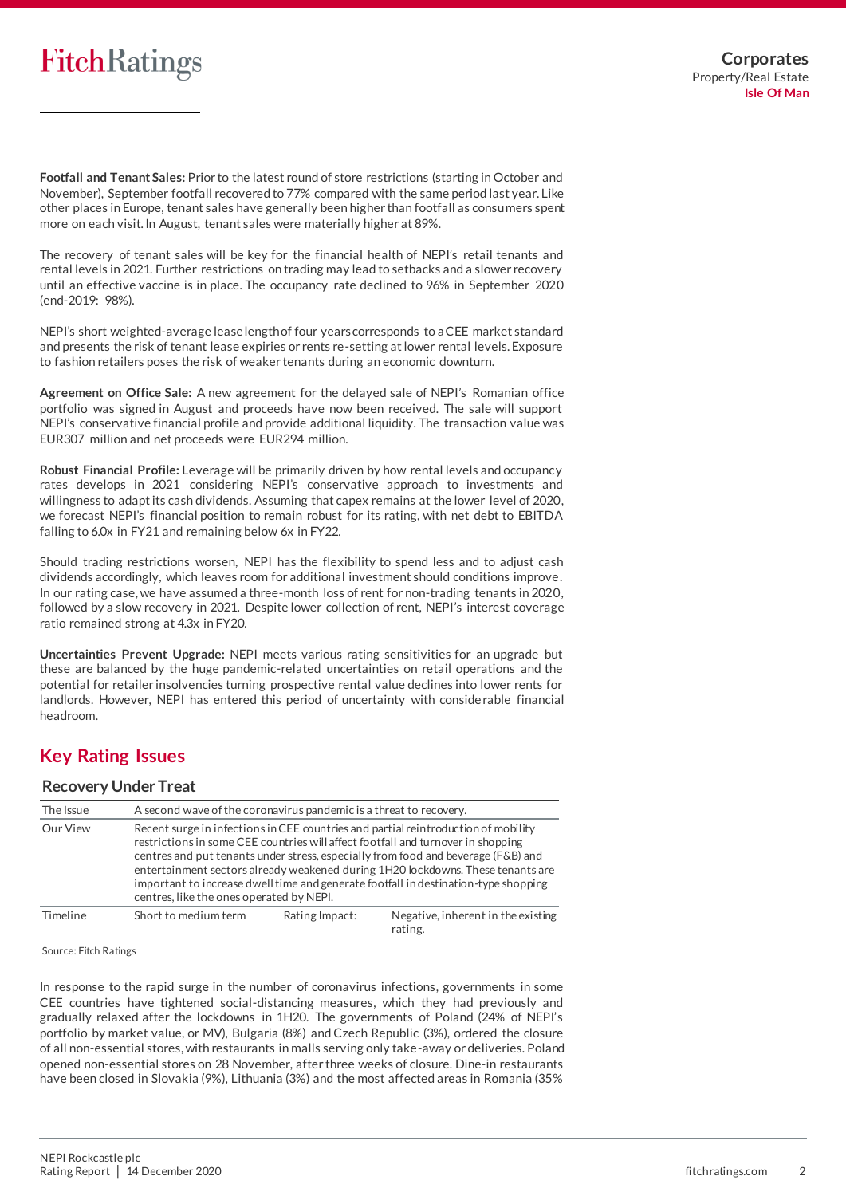**Footfall and Tenant Sales:** Prior to the latest round of store restrictions (starting in October and November), September footfall recovered to 77% compared with the same period last year. Like other places in Europe, tenant sales have generally been higher than footfall as consumers spent more on each visit. In August, tenant sales were materially higher at 89%.

The recovery of tenant sales will be key for the financial health of NEPI's retail tenants and rental levels in 2021. Further restrictions on trading may lead to setbacks and a slower recovery until an effective vaccine is in place. The occupancy rate declined to 96% in September 2020 (end-2019: 98%).

NEPI's short weighted-average lease length of four years corresponds to a CEE market standard and presents the risk of tenant lease expiries or rents re-setting at lower rental levels. Exposure to fashion retailers poses the risk of weaker tenants during an economic downturn.

**Agreement on Office Sale:** A new agreement for the delayed sale of NEPI's Romanian office portfolio was signed in August and proceeds have now been received. The sale will support NEPI's conservative financial profile and provide additional liquidity. The transaction value was EUR307 million and net proceeds were EUR294 million.

**Robust Financial Profile:** Leverage will be primarily driven by how rental levels and occupancy rates develops in 2021 considering NEPI's conservative approach to investments and willingness to adapt its cash dividends. Assuming that capex remains at the lower level of 2020, we forecast NEPI's financial position to remain robust for its rating, with net debt to EBITDA falling to 6.0x in FY21 and remaining below 6x in FY22.

Should trading restrictions worsen, NEPI has the flexibility to spend less and to adjust cash dividends accordingly, which leaves room for additional investment should conditions improve . In our rating case,we have assumed a three-month loss of rent for non-trading tenants in 2020, followed by a slow recovery in 2021. Despite lower collection of rent, NEPI's interest coverage ratio remained strong at 4.3x in FY20.

**Uncertainties Prevent Upgrade:** NEPI meets various rating sensitivities for an upgrade but these are balanced by the huge pandemic-related uncertainties on retail operations and the potential for retailer insolvencies turning prospective rental value declines into lower rents for landlords. However, NEPI has entered this period of uncertainty with considerable financial headroom.

## **Key Rating Issues**

### **Recovery Under Treat**

| The Issue |                                          | A second wave of the coronavirus pandemic is a threat to recovery.                                                                                                                                                                                                                                                                                                                                                                    |  |  |  |
|-----------|------------------------------------------|---------------------------------------------------------------------------------------------------------------------------------------------------------------------------------------------------------------------------------------------------------------------------------------------------------------------------------------------------------------------------------------------------------------------------------------|--|--|--|
| Our View  | centres, like the ones operated by NEPI. | Recent surge in infections in CEE countries and partial reintroduction of mobility<br>restrictions in some CEE countries will affect footfall and turnover in shopping<br>centres and put tenants under stress, especially from food and beverage (F&B) and<br>entertainment sectors already weakened during 1H20 lockdowns. These tenants are<br>important to increase dwell time and generate footfall in destination-type shopping |  |  |  |
| Timeline  | Short to medium term                     | Rating Impact:<br>Negative, inherent in the existing<br>rating.                                                                                                                                                                                                                                                                                                                                                                       |  |  |  |

### Source: Fitch Ratings

In response to the rapid surge in the number of coronavirus infections, governments in some CEE countries have tightened social-distancing measures, which they had previously and gradually relaxed after the lockdowns in 1H20. The governments of Poland (24% of NEPI's portfolio by market value, or MV), Bulgaria (8%) and Czech Republic (3%), ordered the closure of all non-essential stores,with restaurants in malls serving only take-away or deliveries. Poland opened non-essential stores on 28 November, after three weeks of closure. Dine-in restaurants have been closed in Slovakia (9%), Lithuania (3%) and the most affected areas in Romania (35%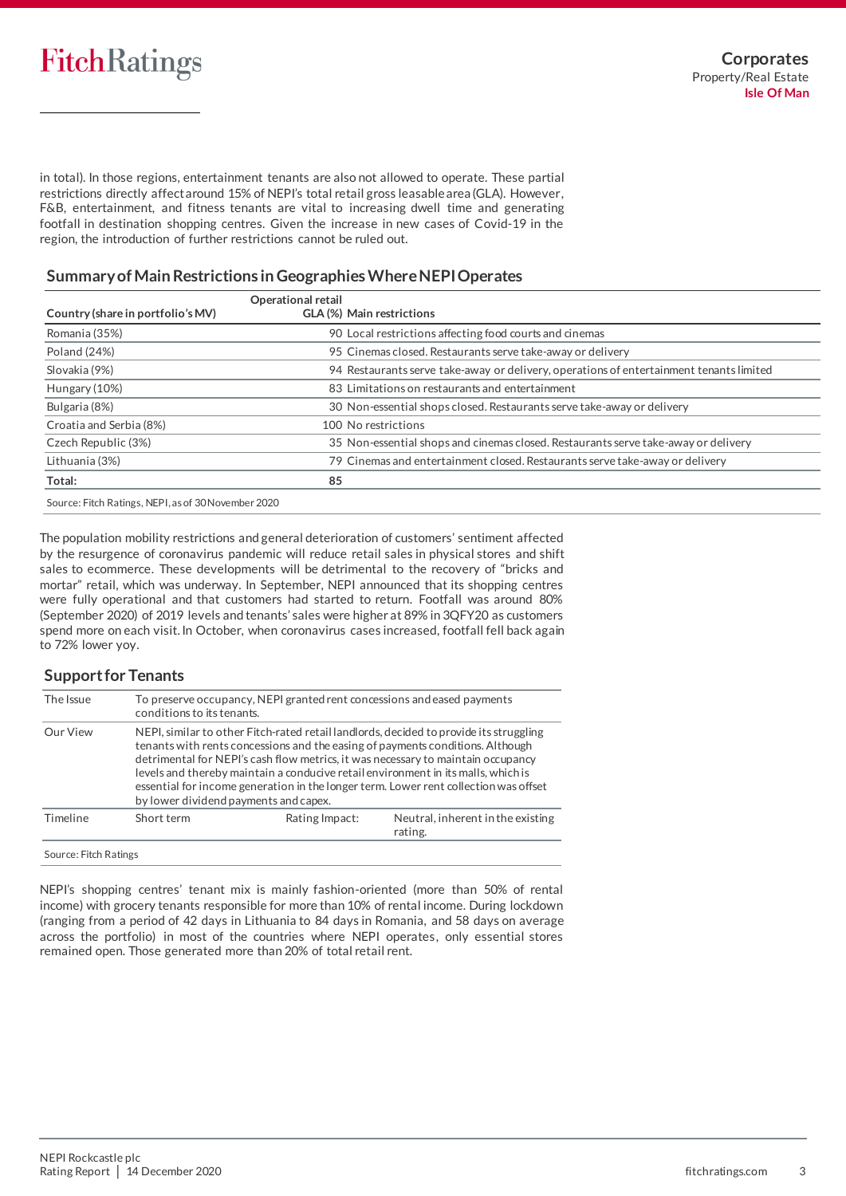in total). In those regions, entertainment tenants are also not allowed to operate. These partial restrictions directly affect around 15% of NEPI's total retail gross leasable area (GLA). However, F&B, entertainment, and fitness tenants are vital to increasing dwell time and generating footfall in destination shopping centres. Given the increase in new cases of Covid-19 in the region, the introduction of further restrictions cannot be ruled out.

### **Summary of Main Restrictions in GeographiesWhereNEPIOperates**

|                                                     | <b>Operational retail</b>                                                               |
|-----------------------------------------------------|-----------------------------------------------------------------------------------------|
| Country (share in portfolio's MV)                   | GLA (%) Main restrictions                                                               |
| Romania (35%)                                       | 90 Local restrictions affecting food courts and cinemas                                 |
| Poland (24%)                                        | 95 Cinemas closed. Restaurants serve take-away or delivery                              |
| Slovakia (9%)                                       | 94 Restaurants serve take-away or delivery, operations of entertainment tenants limited |
| Hungary (10%)                                       | 83 Limitations on restaurants and entertainment                                         |
| Bulgaria (8%)                                       | 30 Non-essential shops closed. Restaurants serve take-away or delivery                  |
| Croatia and Serbia (8%)                             | 100 No restrictions                                                                     |
| Czech Republic (3%)                                 | 35 Non-essential shops and cinemas closed. Restaurants serve take-away or delivery      |
| Lithuania (3%)                                      | 79 Cinemas and entertainment closed. Restaurants serve take-away or delivery            |
| Total:                                              | 85                                                                                      |
| Source: Fitch Ratings, NEPI, as of 30 November 2020 |                                                                                         |

The population mobility restrictions and general deterioration of customers' sentiment affected by the resurgence of coronavirus pandemic will reduce retail sales in physical stores and shift sales to ecommerce. These developments will be detrimental to the recovery of "bricks and mortar" retail, which was underway. In September, NEPI announced that its shopping centres were fully operational and that customers had started to return. Footfall was around 80% (September 2020) of 2019 levels and tenants' sales were higher at 89% in 3QFY20 as customers spend more on each visit. In October, when coronavirus cases increased, footfall fell back again to 72% lower yoy.

### **Support for Tenants**

| The Issue | To preserve occupancy, NEPI granted rent concessions and eased payments<br>conditions to its tenants. |                                                                |                                                                                                                                                                                                                                                                                                                                                                                                                                           |  |  |
|-----------|-------------------------------------------------------------------------------------------------------|----------------------------------------------------------------|-------------------------------------------------------------------------------------------------------------------------------------------------------------------------------------------------------------------------------------------------------------------------------------------------------------------------------------------------------------------------------------------------------------------------------------------|--|--|
| Our View  | by lower dividend payments and capex.                                                                 |                                                                | NEPI, similar to other Fitch-rated retail landlords, decided to provide its struggling<br>tenants with rents concessions and the easing of payments conditions. Although<br>detrimental for NEPI's cash flow metrics, it was necessary to maintain occupancy<br>levels and thereby maintain a conducive retail environment in its malls, which is<br>essential for income generation in the longer term. Lower rent collection was offset |  |  |
| Timeline  | Short term                                                                                            | Neutral, inherent in the existing<br>Rating Impact:<br>rating. |                                                                                                                                                                                                                                                                                                                                                                                                                                           |  |  |

NEPI's shopping centres' tenant mix is mainly fashion-oriented (more than 50% of rental income) with grocery tenants responsible for more than 10% of rental income. During lockdown (ranging from a period of 42 days in Lithuania to 84 days in Romania, and 58 days on average across the portfolio) in most of the countries where NEPI operates, only essential stores remained open. Those generated more than 20% of total retail rent.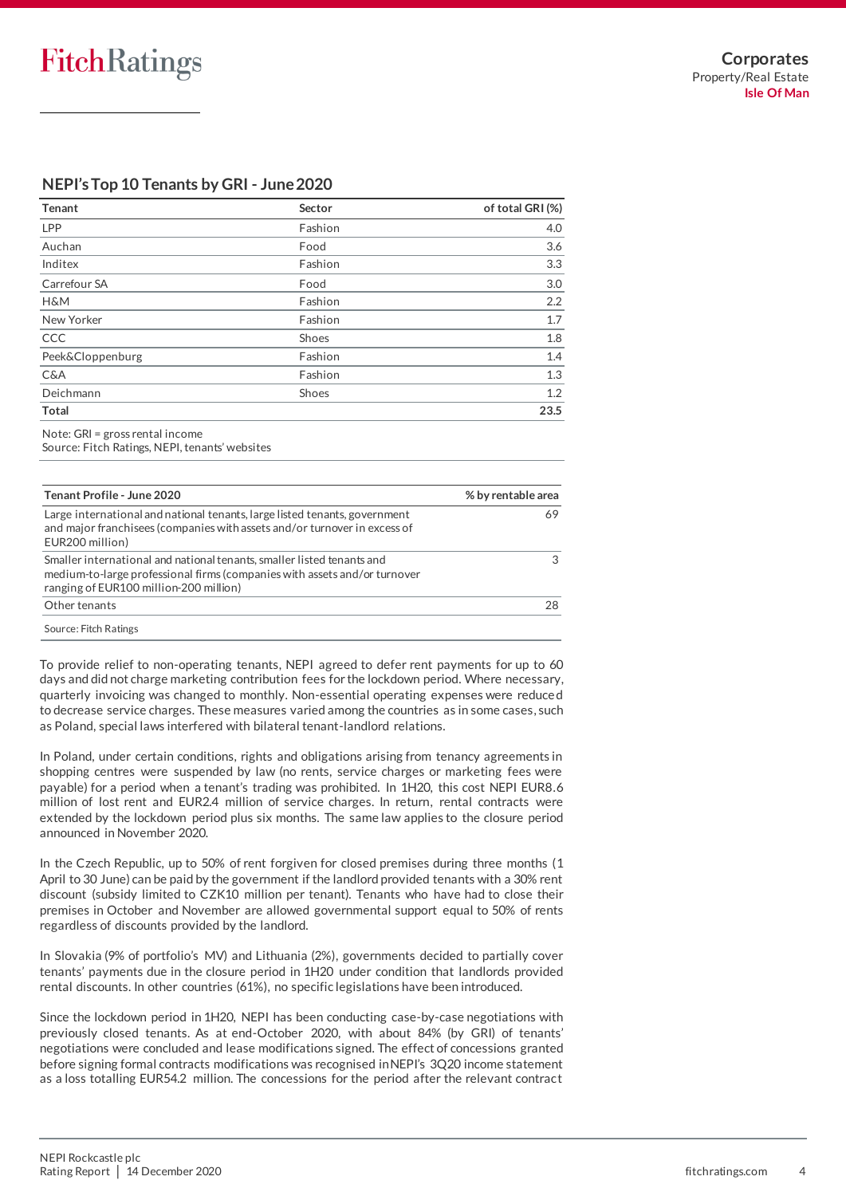## **NEPI's Top 10 Tenants by GRI - June2020**

| <b>Tenant</b>        | Sector  | of total GRI (%) |
|----------------------|---------|------------------|
| LPP                  | Fashion | 4.0              |
| Auchan               | Food    | 3.6              |
| Inditex              | Fashion | 3.3              |
| Carrefour SA         | Food    | 3.0              |
| <b>H&amp;M</b>       | Fashion | 2.2              |
| New Yorker           | Fashion | 1.7              |
| CCC                  | Shoes   | 1.8              |
| Peek&Cloppenburg     | Fashion | 1.4              |
| C&A                  | Fashion | 1.3              |
| Deichmann            | Shoes   | 1.2              |
| <b>Total</b>         |         | 23.5             |
| $\sim$ $\sim$ $\sim$ |         |                  |

Note: GRI = gross rental income

Source: Fitch Ratings, NEPI, tenants' websites

| Tenant Profile - June 2020                                                                                                                                                                    | % by rentable area |
|-----------------------------------------------------------------------------------------------------------------------------------------------------------------------------------------------|--------------------|
| Large international and national tenants, large listed tenants, government<br>and major franchisees (companies with assets and/or turnover in excess of<br>EUR200 million)                    | 69                 |
| Smaller international and national tenants, smaller listed tenants and<br>medium-to-large professional firms (companies with assets and/or turnover<br>ranging of EUR100 million-200 million) |                    |
| Other tenants                                                                                                                                                                                 | 28                 |

To provide relief to non-operating tenants, NEPI agreed to defer rent payments for up to 60 days and did not charge marketing contribution fees for the lockdown period. Where necessary, quarterly invoicing was changed to monthly. Non-essential operating expenses were reduce d to decrease service charges. These measures varied among the countries as in some cases, such as Poland, special laws interfered with bilateral tenant-landlord relations.

In Poland, under certain conditions, rights and obligations arising from tenancy agreements in shopping centres were suspended by law (no rents, service charges or marketing fees were payable) for a period when a tenant's trading was prohibited. In 1H20, this cost NEPI EUR8.6 million of lost rent and EUR2.4 million of service charges. In return, rental contracts were extended by the lockdown period plus six months. The same law applies to the closure period announced in November 2020.

In the Czech Republic, up to 50% of rent forgiven for closed premises during three months (1 April to 30 June) can be paid by the government if the landlord provided tenants with a 30% rent discount (subsidy limited to CZK10 million per tenant). Tenants who have had to close their premises in October and November are allowed governmental support equal to 50% of rents regardless of discounts provided by the landlord.

In Slovakia (9% of portfolio's MV) and Lithuania (2%), governments decided to partially cover tenants' payments due in the closure period in 1H20 under condition that landlords provided rental discounts. In other countries (61%), no specific legislations have been introduced.

Since the lockdown period in 1H20, NEPI has been conducting case-by-case negotiations with previously closed tenants. As at end-October 2020, with about 84% (by GRI) of tenants' negotiations were concluded and lease modifications signed. The effect of concessions granted before signing formal contracts modifications was recognised in NEPI's 3Q20 income statement as a loss totalling EUR54.2 million. The concessions for the period after the relevant contract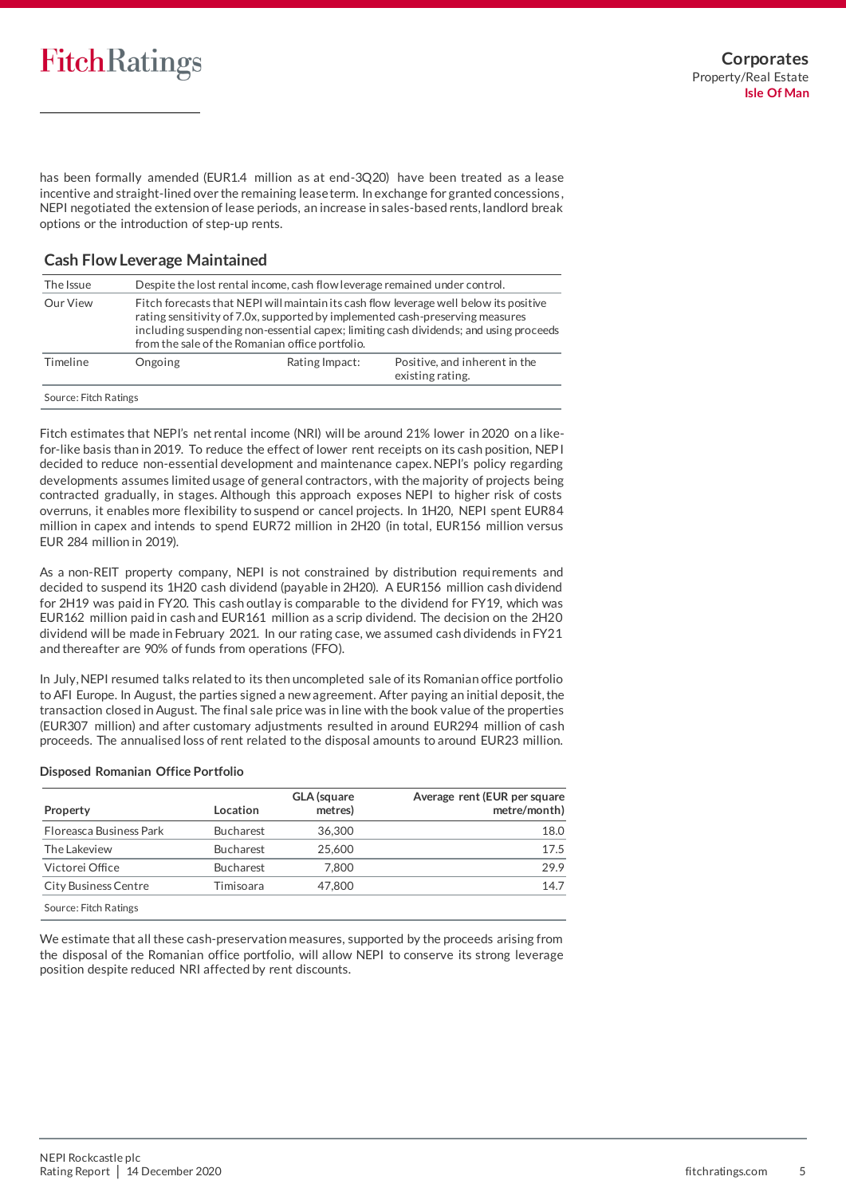has been formally amended (EUR1.4 million as at end-3Q20) have been treated as a lease incentive and straight-lined over the remaining lease term. In exchange for granted concessions , NEPI negotiated the extension of lease periods, an increase in sales-based rents, landlord break options or the introduction of step-up rents.

### **Cash Flow Leverage Maintained**

| The Issue             |                                                                                                                                                                                                                                                                                                                     | Despite the lost rental income, cash flow leverage remained under control. |  |  |  |
|-----------------------|---------------------------------------------------------------------------------------------------------------------------------------------------------------------------------------------------------------------------------------------------------------------------------------------------------------------|----------------------------------------------------------------------------|--|--|--|
| Our View              | Fitch forecasts that NEPI will maintain its cash flow leverage well below its positive<br>rating sensitivity of 7.0x, supported by implemented cash-preserving measures<br>including suspending non-essential capex; limiting cash dividends; and using proceeds<br>from the sale of the Romanian office portfolio. |                                                                            |  |  |  |
| Timeline              | Positive, and inherent in the<br>Rating Impact:<br>Ongoing<br>existing rating.                                                                                                                                                                                                                                      |                                                                            |  |  |  |
| Source: Fitch Ratings |                                                                                                                                                                                                                                                                                                                     |                                                                            |  |  |  |

Fitch estimates that NEPI's net rental income (NRI) will be around 21% lower in 2020 on a likefor-like basis than in 2019. To reduce the effect of lower rent receipts on its cash position, NEP I decided to reduce non-essential development and maintenance capex. NEPI's policy regarding developments assumes limited usage of general contractors, with the majority of projects being contracted gradually, in stages. Although this approach exposes NEPI to higher risk of costs overruns, it enables more flexibility to suspend or cancel projects. In 1H20, NEPI spent EUR84 million in capex and intends to spend EUR72 million in 2H20 (in total, EUR156 million versus EUR 284 million in 2019).

As a non-REIT property company, NEPI is not constrained by distribution requirements and decided to suspend its 1H20 cash dividend (payable in 2H20). A EUR156 million cash dividend for 2H19 was paid in FY20. This cash outlay is comparable to the dividend for FY19, which was EUR162 million paid in cash and EUR161 million as a scrip dividend. The decision on the 2H20 dividend will be made in February 2021. In our rating case, we assumed cash dividends in FY21 and thereafter are 90% of funds from operations (FFO).

In July, NEPI resumed talks related to its then uncompleted sale of its Romanian office portfolio to AFI Europe. In August, the parties signed a new agreement. After paying an initial deposit, the transaction closed in August. The final sale price was in line with the book value of the properties (EUR307 million) and after customary adjustments resulted in around EUR294 million of cash proceeds. The annualised loss of rent related to the disposal amounts to around EUR23 million.

### **Disposed Romanian Office Portfolio**

| Property                    | Location         | <b>GLA</b> (square<br>metres) | Average rent (EUR per square<br>metre/month) |
|-----------------------------|------------------|-------------------------------|----------------------------------------------|
| Floreasca Business Park     | <b>Bucharest</b> | 36.300                        | 18.0                                         |
| The Lakeview                | <b>Bucharest</b> | 25,600                        | 17.5                                         |
| Victorei Office             | <b>Bucharest</b> | 7.800                         | 29.9                                         |
| <b>City Business Centre</b> | Timisoara        | 47,800                        | 14.7                                         |
| Contact Citate Dollard      |                  |                               |                                              |

Source: Fitch Ratings

We estimate that all these cash-preservation measures, supported by the proceeds arising from the disposal of the Romanian office portfolio, will allow NEPI to conserve its strong leverage position despite reduced NRI affected by rent discounts.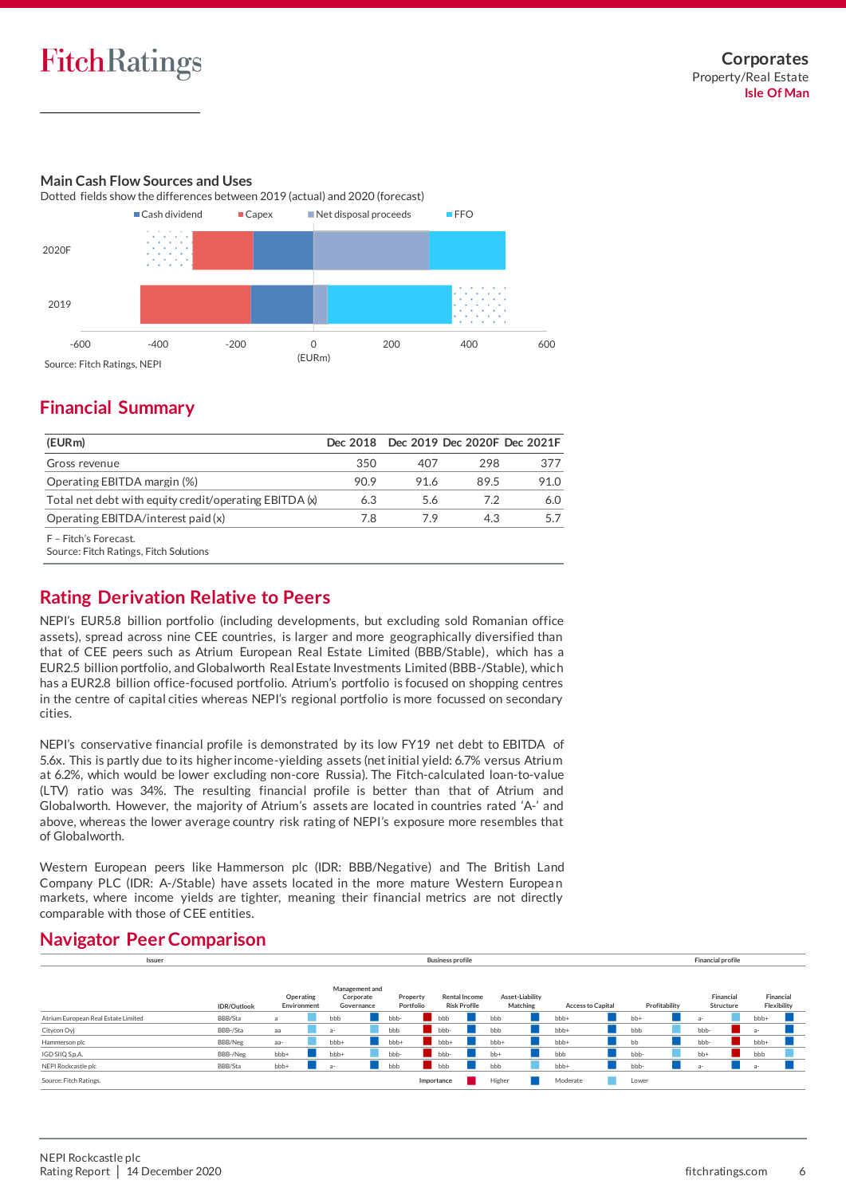### **Main Cash Flow Sources and Uses**



## **Financial Summary**

| (EURm)                                                   |      |      | Dec 2018 Dec 2019 Dec 2020F Dec 2021F |      |
|----------------------------------------------------------|------|------|---------------------------------------|------|
| Gross revenue                                            | 350  | 407  | 298                                   | 377  |
| Operating EBITDA margin (%)                              | 90.9 | 91.6 | 89.5                                  | 91.O |
| Total net debt with equity credit/operating EBITDA $(x)$ | 6.3  | 5.6  | 7.2                                   | 6.0  |
| Operating EBITDA/interest paid (x)                       | 7.8  | 79   | 4.3                                   |      |
| F - Fitch's Forecast.                                    |      |      |                                       |      |

Source: Fitch Ratings, Fitch Solutions

## **Rating Derivation Relative to Peers**

NEPI's EUR5.8 billion portfolio (including developments, but excluding sold Romanian office assets), spread across nine CEE countries, is larger and more geographically diversified than that of CEE peers such as Atrium European Real Estate Limited (BBB/Stable), which has a EUR2.5 billion portfolio, and Globalworth Real Estate Investments Limited (BBB-/Stable), which has a EUR2.8 billion office-focused portfolio. Atrium's portfolio is focused on shopping centres in the centre of capital cities whereas NEPI's regional portfolio is more focussed on secondary cities.

NEPI's conservative financial profile is demonstrated by its low FY19 net debt to EBITDA of 5.6x. This is partly due to its higher income-yielding assets (net initial yield: 6.7% versus Atrium at 6.2%, which would be lower excluding non-core Russia). The Fitch-calculated loan-to-value (LTV) ratio was 34%. The resulting financial profile is better than that of Atrium and Globalworth. However, the majority of Atrium's assets are located in countries rated 'A-' and above, whereas the lower average country risk rating of NEPI's exposure more resembles that of Globalworth.

Western European peers like Hammerson plc (IDR: BBB/Negative) and The British Land Company PLC (IDR: A-/Stable) have assets located in the more mature Western Europea n markets, where income yields are tighter, meaning their financial metrics are not directly comparable with those of CEE entities.

### **IDR/Outlook** BBB/Sta a n bbb n bbb- bbb bbb n bbb+ n bb+ n a- bbb+ n BBB-/Sta aa **n a- n bbb bbb- bbb- n bbb- n bbb- n a- n** b BBB/Neg aa- **bbb+ n bbb+ bbb+ bbb+ bbb+ n bbb+** bbb+ n bbb+ n bbb+ n bbb+ n bbb+ BBB-/Neg bbb+ **n** bbb- **n** bbb- **n** bbb- n bbb n bbb- n bbb- n bbb- n bbb n bbb n bbb n bbb n bbb n bbb n bbb n bbb n bbb n bbb n bbb n bbb n bbb n bbb n bbb n bbb n bbb n bbb n bbb n bbb n bbb n bbb n bbb n bbb n bbb n bb BBB/Sta bbb+ a- **b**bb bbb bbb bbb bbb+ n bbb- a- a- n Source: Fitch Ratings. **Importance no Lower New York Constant Constant Constant Constant Constant Constant Constant** Lower **in Lower** Atrium European Real Estate Limited Citycon Oyj Hammerson plc IGD SIIQ S.p.A. NEPI Rockcastle plo **Financial Structure Financial Flexibility Issuer Financial profile Management and Corporate Governance Property Portfolio Rental Income Risk Profile Asset-Liability Matching Access to Capital Profitability Operating Environment Business profile**

## **Navigator Peer Comparison**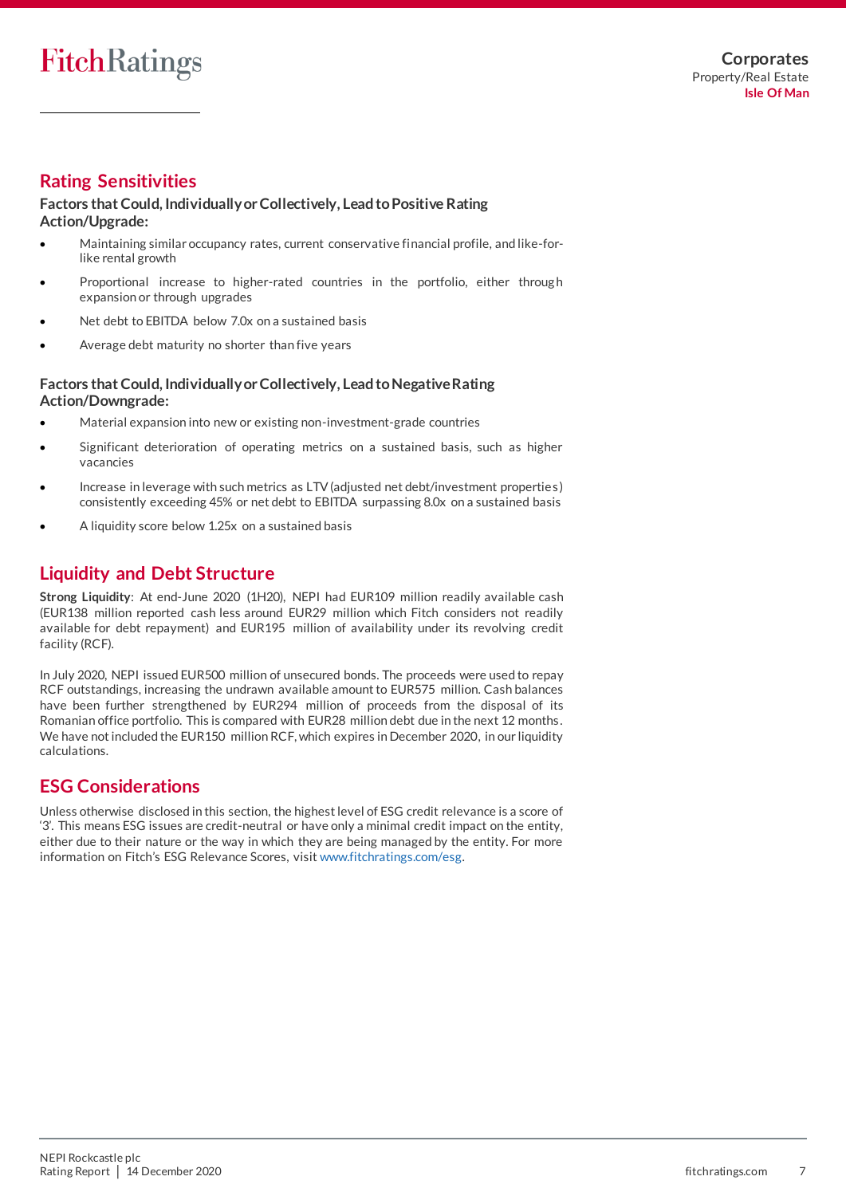## **Rating Sensitivities**

### **Factors that Could, Individually or Collectively, Lead to Positive Rating Action/Upgrade:**

- Maintaining similar occupancy rates, current conservative financial profile, and like-forlike rental growth
- Proportional increase to higher-rated countries in the portfolio, either through expansion or through upgrades
- Net debt to EBITDA below 7.0x on a sustained basis
- Average debt maturity no shorter than five years

### **Factors that Could, Individually or Collectively, Lead to Negative Rating Action/Downgrade:**

- Material expansion into new or existing non-investment-grade countries
- Significant deterioration of operating metrics on a sustained basis, such as higher vacancies
- Increase in leverage with such metrics as LTV (adjusted net debt/investment properties) consistently exceeding 45% or net debt to EBITDA surpassing 8.0x on a sustained basis
- A liquidity score below 1.25x on a sustained basis

## **Liquidity and Debt Structure**

**Strong Liquidity**: At end-June 2020 (1H20), NEPI had EUR109 million readily available cash (EUR138 million reported cash less around EUR29 million which Fitch considers not readily available for debt repayment) and EUR195 million of availability under its revolving credit facility (RCF).

In July 2020, NEPI issued EUR500 million of unsecured bonds. The proceeds were used to repay RCF outstandings, increasing the undrawn available amount to EUR575 million. Cash balances have been further strengthened by EUR294 million of proceeds from the disposal of its Romanian office portfolio. This is compared with EUR28 million debt due in the next 12 months . We have not included the EUR150 million RCF, which expires in December 2020, in our liquidity calculations.

## **ESG Considerations**

Unless otherwise disclosed in this section, the highest level of ESG credit relevance is a score of '3'. This means ESG issues are credit-neutral or have only a minimal credit impact on the entity, either due to their nature or the way in which they are being managed by the entity. For more information on Fitch's ESG Relevance Scores, visi[t www.fitchratings.com/esg.](https://www.fitchratings.com/topics/esg)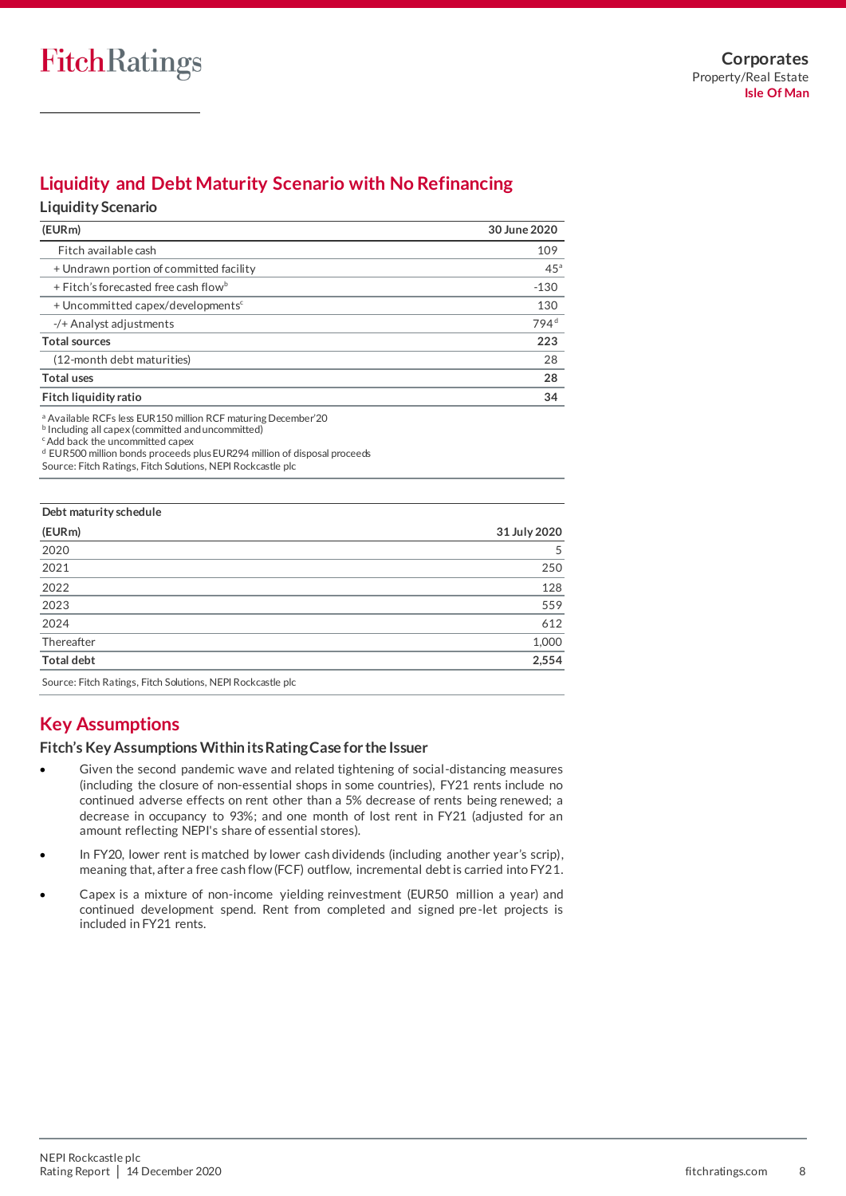## **Liquidity and Debt Maturity Scenario with No Refinancing**

### **Liquidity Scenario**

| (EURm)                                        | 30 June 2020     |
|-----------------------------------------------|------------------|
| Fitch available cash                          | 109              |
| + Undrawn portion of committed facility       | 45 <sup>a</sup>  |
| + Fitch's forecasted free cash flowb          | $-130$           |
| + Uncommitted capex/developments <sup>c</sup> | 130              |
| $-$ /+ Analyst adjustments                    | 794 <sup>d</sup> |
| <b>Total sources</b>                          | 223              |
| (12-month debt maturities)                    | 28               |
| <b>Total uses</b>                             | 28               |
| Fitch liquidity ratio                         | 34               |

<sup>a</sup> Available RCFs less EUR150 million RCF maturing December'20

c Add back the uncommitted capex

d EUR500 million bonds proceeds plus EUR294 million of disposal proceeds

Source: Fitch Ratings, Fitch Solutions, NEPI Rockcastle plc

| Debt maturity schedule                                                                                                                                                                                                                                                                                                                                      |              |
|-------------------------------------------------------------------------------------------------------------------------------------------------------------------------------------------------------------------------------------------------------------------------------------------------------------------------------------------------------------|--------------|
| (EURm)                                                                                                                                                                                                                                                                                                                                                      | 31 July 2020 |
| 2020                                                                                                                                                                                                                                                                                                                                                        | 5            |
| 2021                                                                                                                                                                                                                                                                                                                                                        | 250          |
| 2022                                                                                                                                                                                                                                                                                                                                                        | 128          |
| 2023                                                                                                                                                                                                                                                                                                                                                        | 559          |
| 2024                                                                                                                                                                                                                                                                                                                                                        | 612          |
| Thereafter                                                                                                                                                                                                                                                                                                                                                  | 1,000        |
| <b>Total debt</b>                                                                                                                                                                                                                                                                                                                                           | 2,554        |
| $\mathcal{C}$ $\mathcal{C}$ $\mathcal{C}$ $\mathcal{C}$ $\mathcal{C}$ $\mathcal{C}$ $\mathcal{C}$ $\mathcal{C}$ $\mathcal{C}$ $\mathcal{C}$ $\mathcal{C}$ $\mathcal{C}$ $\mathcal{C}$ $\mathcal{C}$ $\mathcal{C}$ $\mathcal{C}$ $\mathcal{C}$ $\mathcal{C}$ $\mathcal{C}$ $\mathcal{C}$ $\mathcal{C}$ $\mathcal{C}$ $\mathcal{C}$ $\mathcal{C}$ $\mathcal{$ |              |

Source: Fitch Ratings, Fitch Solutions, NEPIRockcastle plc

## **Key Assumptions**

### **Fitch's Key Assumptions Within itsRating Case for the Issuer**

- Given the second pandemic wave and related tightening of social-distancing measures (including the closure of non-essential shops in some countries), FY21 rents include no continued adverse effects on rent other than a 5% decrease of rents being renewed; a decrease in occupancy to 93%; and one month of lost rent in FY21 (adjusted for an amount reflecting NEPI's share of essential stores).
- In FY20, lower rent is matched by lower cash dividends (including another year's scrip), meaning that, after a free cash flow (FCF) outflow, incremental debt is carried into FY21.
- Capex is a mixture of non-income yielding reinvestment (EUR50 million a year) and continued development spend. Rent from completed and signed pre-let projects is included in FY21 rents.

b Including all capex (committed and uncommitted)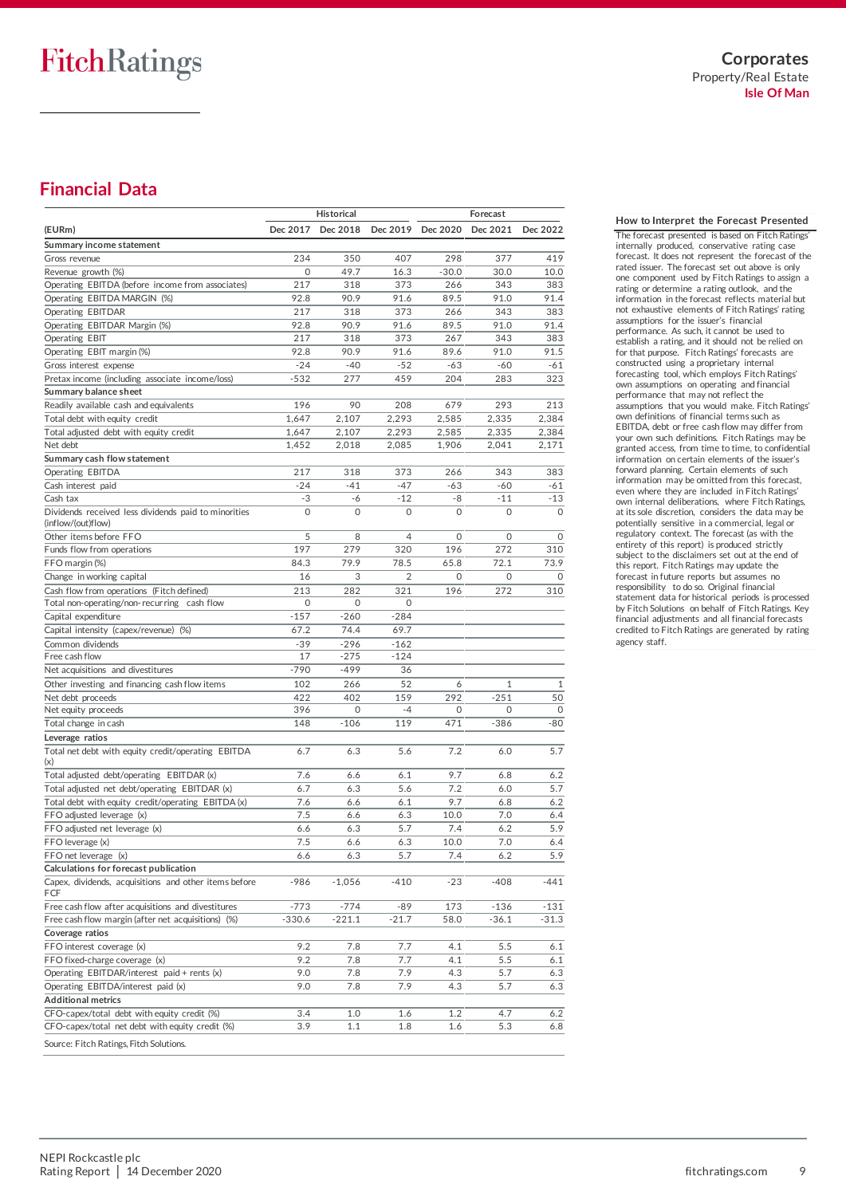**Corporates** Property/Real Estate **Isle Of Man**

## **Financial Data**

|                                                           |             | <b>Historical</b> |                |                   | Forecast |              |
|-----------------------------------------------------------|-------------|-------------------|----------------|-------------------|----------|--------------|
| (EURm)                                                    | Dec 2017    | Dec 2018          |                | Dec 2019 Dec 2020 | Dec 2021 | Dec 2022     |
| Summary income statement                                  |             |                   |                |                   |          |              |
| Gross revenue                                             | 234         | 350               | 407            | 298               | 377      | 419          |
| Revenue growth (%)                                        | $\mathbf 0$ | 49.7              | 16.3           | $-30.0$           | 30.0     | 10.0         |
| Operating EBITDA (before income from associates)          | 217         | 318               | 373            | 266               | 343      | 383          |
|                                                           |             |                   |                |                   |          |              |
| Operating EBITDA MARGIN (%)                               | 92.8        | 90.9              | 91.6           | 89.5              | 91.0     | 91.4         |
| Operating EBITDAR                                         | 217         | 318               | 373            | 266               | 343      | 383          |
| Operating EBITDAR Margin (%)                              | 92.8        | 90.9              | 91.6           | 89.5              | 91.0     | 91.4         |
| <b>Operating EBIT</b>                                     | 217         | 318               | 373            | 267               | 343      | 383          |
| Operating EBIT margin (%)                                 | 92.8        | 90.9              | 91.6           | 89.6              | 91.0     | 91.5         |
| Gross interest expense                                    | $-24$       | -40               | $-52$          | $-63$             | -60      | $-61$        |
| Pretax income (including associate income/loss)           | $-532$      | 277               | 459            | 204               | 283      | 323          |
| Summary balance sheet                                     |             |                   |                |                   |          |              |
| Readily available cash and equivalents                    | 196         | 90                | 208            | 679               | 293      | 213          |
| Total debt with equity credit                             | 1,647       | 2,107             | 2,293          | 2,585             | 2,335    | 2,384        |
| Total adjusted debt with equity credit                    | 1,647       | 2,107             | 2,293          | 2,585             | 2,335    | 2,384        |
| Net debt                                                  | 1,452       | 2,018             | 2,085          | 1,906             | 2,041    | 2,171        |
| Summary cash flow statement                               |             |                   |                |                   |          |              |
| Operating EBITDA                                          | 217         | 318               | 373            | 266               | 343      | 383          |
| Cash interest paid                                        | $-24$       | $-41$             | $-47$          | -63               | $-60$    | -61          |
| Cash tax                                                  | -3          | -6                | $-12$          | -8                | $-11$    | $-13$        |
| Dividends received less dividends paid to minorities      | $\circ$     | $\mathbf 0$       | 0              | $\circ$           | $\circ$  | $\mathbf 0$  |
| (inflow/(out)flow)                                        |             |                   |                |                   |          |              |
| Other items before FFO                                    | 5           | 8                 | $\overline{4}$ | $\circ$           | 0        | $\mathbf 0$  |
| Funds flow from operations                                | 197         | 279               | 320            | 196               | 272      | 310          |
| FFO margin (%)                                            | 84.3        | 79.9              | 78.5           | 65.8              | 72.1     | 73.9         |
| Change in working capital                                 | 16          | 3                 | 2              | 0                 | 0        | $\mathbf 0$  |
| Cash flow from operations (Fitch defined)                 | 213         | 282               | 321            | 196               | 272      | 310          |
| Total non-operating/non-recurring cash flow               | 0           | 0                 | 0              |                   |          |              |
|                                                           | $-157$      | $-260$            | $-284$         |                   |          |              |
| Capital expenditure                                       |             |                   |                |                   |          |              |
| Capital intensity (capex/revenue) (%)                     | 67.2        | 74.4              | 69.7           |                   |          |              |
| Common dividends                                          | $-39$       | $-296$            | $-162$         |                   |          |              |
| Free cash flow                                            | 17          | -275              | $-124$         |                   |          |              |
| Net acquisitions and divestitures                         | $-790$      | $-499$            | 36             |                   |          |              |
| Other investing and financing cash flow items             | 102         | 266               | 52             | 6                 | 1        | $\mathbf{1}$ |
| Net debt proceeds                                         | 422         | 402               | 159            | 292               | $-251$   | 50           |
| Net equity proceeds                                       | 396         | 0                 | $-4$           | 0                 | $\circ$  | 0            |
| Total change in cash                                      | 148         | $-106$            | 119            | 471               | $-386$   | $-80$        |
| Leverage ratios                                           |             |                   |                |                   |          |              |
| Total net debt with equity credit/operating EBITDA<br>(x) | 6.7         | 6.3               | 5.6            | 7.2               | 6.0      | 5.7          |
| Total adjusted debt/operating EBITDAR (x)                 | 7.6         | 6.6               | 6.1            | 9.7               | 6.8      | 6.2          |
| Total adjusted net debt/operating EBITDAR (x)             | 6.7         | 6.3               | 5.6            | 7.2               | 6.0      | 5.7          |
| Total debt with equity credit/operating EBITDA (x)        | 7.6         | 6.6               | 6.1            | 9.7               | 6.8      | 6.2          |
| FFO adjusted leverage (x)                                 | 7.5         | 6.6               | 6.3            | 10.0              | 7.0      | 6.4          |
| FFO adjusted net leverage (x)                             | 6.6         | 6.3               | 5.7            | 7.4               | 6.2      | 5.9          |
| FFO leverage (x)                                          | 7.5         | 6.6               | 6.3            | 10.0              | 7.0      | 6.4          |
| FFO net leverage (x)                                      | 6.6         | 6.3               | 5.7            | 7.4               | 6.2      | 5.9          |
| Calculations for forecast publication                     |             |                   |                |                   |          |              |
| Capex, dividends, acquisitions and other items before     | -986        | $-1,056$          | $-410$         | -23               | $-408$   | -441         |
| FCF                                                       |             |                   |                |                   |          |              |
| Free cash flow after acquisitions and divestitures        | $-773$      | -774              | -89            | 173               | $-136$   | $-131$       |
| Free cash flow margin (after net acquisitions) (%)        | -330.6      | $-221.1$          | $-21.7$        | 58.0              | $-36.1$  | $-31.3$      |
| Coverage ratios                                           |             |                   |                |                   |          |              |
| FFO interest coverage (x)                                 | 9.2         | 7.8               | 7.7            | 4.1               | 5.5      | 6.1          |
| FFO fixed-charge coverage (x)                             | 9.2         | 7.8               | 7.7            | 4.1               | 5.5      | 6.1          |
| Operating EBITDAR/interest paid + rents (x)               | 9.0         | 7.8               | 7.9            | 4.3               | 5.7      | 6.3          |
| Operating EBITDA/interest paid (x)                        | 9.0         | 7.8               | 7.9            | 4.3               | 5.7      | 6.3          |
| <b>Additional metrics</b>                                 |             |                   |                |                   |          |              |
| CFO-capex/total debt with equity credit (%)               | 3.4         | 1.0               | 1.6            | $1.2\,$           | 4.7      | 6.2          |
| CFO-capex/total net debt with equity credit (%)           | 3.9         | 1.1               | 1.8            | 1.6               | 5.3      | 6.8          |
| Source: Fitch Ratings, Fitch Solutions.                   |             |                   |                |                   |          |              |

**How to Interpret the Forecast Presented** The forecast presented is based on Fitch Ratings' internally produced, conservative rating case forecast. It does not represent the forecast of the rated issuer. The forecast set out above is only one component used by Fitch Ratings to assign a rating or determine a rating outlook, and the information in the forecast reflects material but not exhaustive elements of Fitch Ratings' rating assumptions for the issuer's financial performance. As such, it cannot be used to establish a rating, and it should not be relied on for that purpose. Fitch Ratings' forecasts are constructed using a proprietary internal forecasting tool, which employs Fitch Ratings' own assumptions on operating and financial performance that may not reflect the assumptions that you would make. Fitch Ratings' own definitions of financial terms such as EBITDA, debt or free cash flow may differ from your own such definitions. Fitch Ratings may be granted access, from time to time, to confidential information on certain elements of the issuer's forward planning. Certain elements of such information may be omitted from this forecast, even where they are included in Fitch Ratings' own internal deliberations, where Fitch Ratings, at its sole discretion, considers the data may be potentially sensitive in a commercial, legal or regulatory context. The forecast (as with the entirety of this report) is produced strictly subject to the disclaimers set out at the end of this report. Fitch Ratings may update the forecast in future reports but assumes no responsibility to do so. Original financial statement data for historical periods is processed by Fitch Solutions on behalf of Fitch Ratings. Key financial adjustments and all financial forecasts credited to Fitch Ratings are generated by rating

agency staff.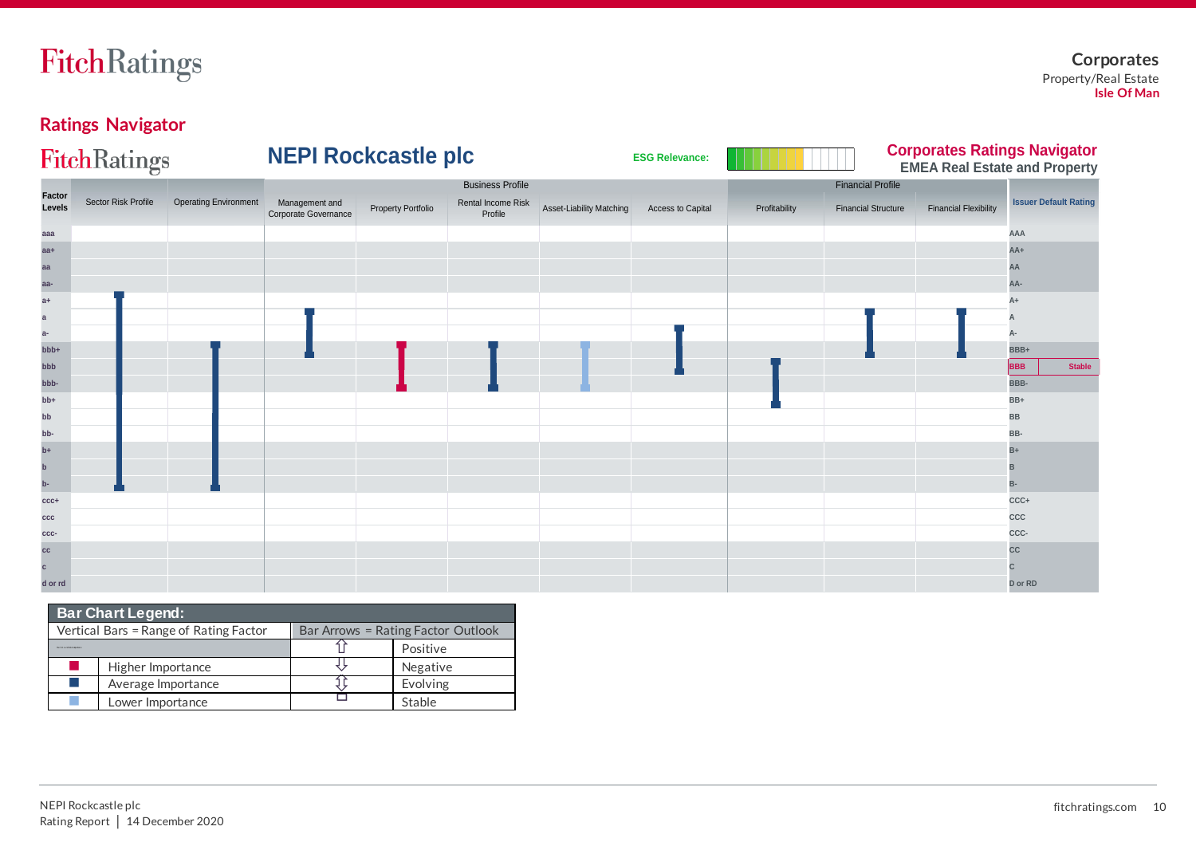

## **Ratings Navigator**

|                         | FitchRatings        |                              | <b>NEPI Rockcastle plc</b>             |                           |                               |                          | <b>ESG Relevance:</b> |               |                            |                              | <b>Corporates Ratings Navigator</b><br><b>EMEA Real Estate and Property</b> |
|-------------------------|---------------------|------------------------------|----------------------------------------|---------------------------|-------------------------------|--------------------------|-----------------------|---------------|----------------------------|------------------------------|-----------------------------------------------------------------------------|
|                         |                     |                              |                                        |                           | <b>Business Profile</b>       |                          |                       |               | <b>Financial Profile</b>   |                              |                                                                             |
| <b>Factor</b><br>Levels | Sector Risk Profile | <b>Operating Environment</b> | Management and<br>Corporate Governance | <b>Property Portfolio</b> | Rental Income Risk<br>Profile | Asset-Liability Matching | Access to Capital     | Profitability | <b>Financial Structure</b> | <b>Financial Flexibility</b> | <b>Issuer Default Rating</b>                                                |
| aaa                     |                     |                              |                                        |                           |                               |                          |                       |               |                            |                              | AAA                                                                         |
| $aa+$                   |                     |                              |                                        |                           |                               |                          |                       |               |                            |                              | AA+                                                                         |
| aa                      |                     |                              |                                        |                           |                               |                          |                       |               |                            |                              | AA                                                                          |
| aa-                     |                     |                              |                                        |                           |                               |                          |                       |               |                            |                              | AA-                                                                         |
| $a+$                    |                     |                              |                                        |                           |                               |                          |                       |               |                            |                              |                                                                             |
| a                       |                     |                              |                                        |                           |                               |                          |                       |               |                            |                              |                                                                             |
| $a-$                    |                     |                              |                                        |                           |                               |                          |                       |               |                            |                              |                                                                             |
| bbb+                    |                     |                              |                                        |                           |                               |                          |                       |               |                            |                              | BBB+                                                                        |
| bbb                     |                     |                              |                                        |                           |                               |                          |                       |               |                            |                              | <b>Stable</b><br><b>BBB</b>                                                 |
| bbb-                    |                     |                              |                                        |                           |                               |                          |                       |               |                            |                              | BBB-                                                                        |
| bb+                     |                     |                              |                                        |                           |                               |                          |                       |               |                            |                              | BB+                                                                         |
| bb                      |                     |                              |                                        |                           |                               |                          |                       |               |                            |                              | BB                                                                          |
| bb-                     |                     |                              |                                        |                           |                               |                          |                       |               |                            |                              | BB-                                                                         |
| $b+$                    |                     |                              |                                        |                           |                               |                          |                       |               |                            |                              | B+                                                                          |
| $\mathbf b$             |                     |                              |                                        |                           |                               |                          |                       |               |                            |                              |                                                                             |
| $b-$                    |                     |                              |                                        |                           |                               |                          |                       |               |                            |                              | B-                                                                          |
| $ccc+$                  |                     |                              |                                        |                           |                               |                          |                       |               |                            |                              | CCC+                                                                        |
| ccc                     |                     |                              |                                        |                           |                               |                          |                       |               |                            |                              | ccc                                                                         |
| ccc-                    |                     |                              |                                        |                           |                               |                          |                       |               |                            |                              | CCC-                                                                        |
| CC                      |                     |                              |                                        |                           |                               |                          |                       |               |                            |                              | cc                                                                          |
| $\mathbf{c}$            |                     |                              |                                        |                           |                               |                          |                       |               |                            |                              |                                                                             |
| d or rd                 |                     |                              |                                        |                           |                               |                          |                       |               |                            |                              | D or RD                                                                     |

|                                           | <b>Bar Chart Legend:</b>               |                                    |          |  |  |  |
|-------------------------------------------|----------------------------------------|------------------------------------|----------|--|--|--|
|                                           | Vertical Bars = Range of Rating Factor | Bar Arrows = Rating Factor Outlook |          |  |  |  |
| <b>But City over which it has a first</b> |                                        |                                    | Positive |  |  |  |
| a.                                        | Higher Importance                      |                                    | Negative |  |  |  |
| u.                                        | Average Importance                     |                                    | Evolving |  |  |  |
|                                           | Lower Importance                       |                                    | Stable   |  |  |  |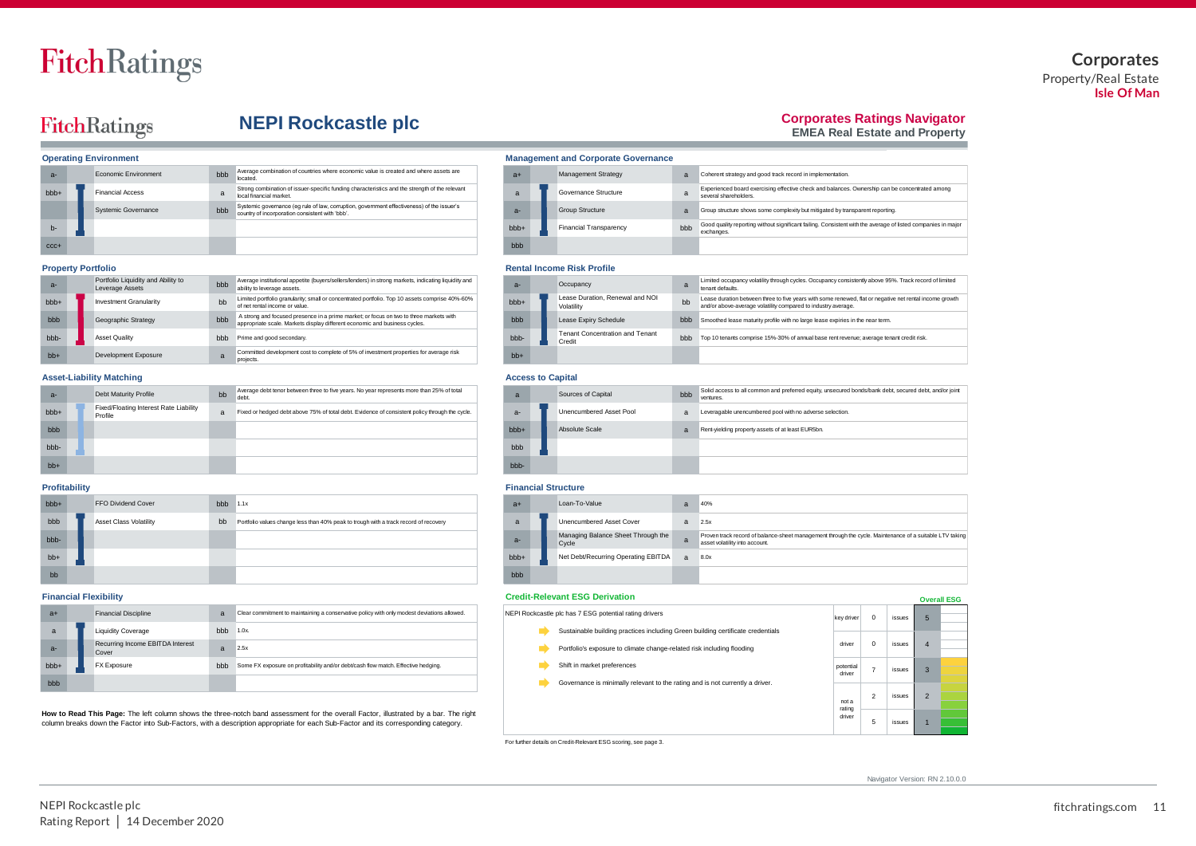### **Corporates** Property/Real Estate **Isle Of Man**

## FitchRatings

## **NEPI Rockcastle plc**

### **Corporates Ratings Navigator**

Experienced board exercising effective check and balances. Ownership can be concentrated among

Good quality reporting without significant failing. Consistent with the average of listed companies in major exchanges.

**EMEA Real Estate and Property**

|                  | <b>Operating Environment</b> | <b>Management and Corporate Governance</b> |                                                                                                                                               |                  |  |                               |              |
|------------------|------------------------------|--------------------------------------------|-----------------------------------------------------------------------------------------------------------------------------------------------|------------------|--|-------------------------------|--------------|
| $a -$            | Economic Environment         | bbb                                        | Average combination of countries where economic value is created and where assets are<br>located.                                             | $a+$             |  | <b>Management Strategy</b>    | a            |
| bb <sub>b+</sub> | <b>Financial Access</b>      | a                                          | Strong combination of issuer-specific funding characteristics and the strength of the relevant<br>local financial market.                     | a                |  | Governance Structure          | $\mathbf{a}$ |
|                  | <b>Systemic Governance</b>   | bbb                                        | Systemic governance (eg rule of law, corruption, government effectiveness) of the issuer's<br>country of incorporation consistent with 'bbb'. | $a -$            |  | <b>Group Structure</b>        | a            |
| $b -$            |                              |                                            |                                                                                                                                               | bb <sub>b+</sub> |  | <b>Financial Transparency</b> | bbb          |
| $CCC +$          |                              |                                            |                                                                                                                                               | bbb              |  |                               |              |

| $a -$ | Portfolio Liquidity and Ability to<br>Leverage Assets | bbb | Average institutional appetite (buyers/sellers/lenders) in strong markets, indicating liquidity and<br>ability to leverage assets.                                   | $a -$            | Occupancy                                     |     |
|-------|-------------------------------------------------------|-----|----------------------------------------------------------------------------------------------------------------------------------------------------------------------|------------------|-----------------------------------------------|-----|
| bbb+  | <b>Investment Granularity</b>                         | bb  | Limited portfolio granularity; small or concentrated portfolio. Top 10 assets comprise 40%-60%<br>of net rental income or value.                                     | bb <sub>b+</sub> | Lease Duration, Renewal and NOI<br>Volatility | bb  |
| bbb   | Geographic Strategy                                   | bbb | A strong and focused presence in a prime market; or focus on two to three markets with<br>appropriate scale. Markets display different economic and business cycles. | bbb              | Lease Expiry Schedule                         | bbb |
| bbb-  | <b>Asset Quality</b>                                  | bbb | Prime and good secondary.                                                                                                                                            | bbb-             | Tenant Concentration and Tenant<br>Credit     | bbb |
| $bb+$ | Development Exposure                                  |     | Committed development cost to complete of 5% of investment properties for average risk<br>projects.                                                                  | $bb+$            |                                               |     |

### **Asset-Liability Matching Access to Capital**

| $a -$  | Debt Maturity Profile                             | bb | Average debt tenor between three to five years. No year represents more than 25% of total<br>debt. | a     | Sources of Capital      | bbb            |
|--------|---------------------------------------------------|----|----------------------------------------------------------------------------------------------------|-------|-------------------------|----------------|
| $bbb+$ | Fixed/Floating Interest Rate Liability<br>Profile | a  | Fixed or hedged debt above 75% of total debt. Evidence of consistent policy through the cycle.     | $a -$ | Unencumbered Asset Pool | $\overline{a}$ |
| bbb    |                                                   |    |                                                                                                    | bbb+  | Absolute Scale          | $\overline{a}$ |
| bbb-   |                                                   |    |                                                                                                    | bbb   |                         |                |
| $bb+$  |                                                   |    |                                                                                                    | bbb-  |                         |                |

| bb <sub>b+</sub> | <b>FFO Dividend Cover</b>     | bbb | 1.1x                                                                                 | $a+$             | Loan-To-Value                               | a              |
|------------------|-------------------------------|-----|--------------------------------------------------------------------------------------|------------------|---------------------------------------------|----------------|
| bbb              | <b>Asset Class Volatility</b> | bb  | Portfolio values change less than 40% peak to trough with a track record of recovery | a                | Unencumbered Asset Cover                    | a              |
| bbb-             |                               |     |                                                                                      | $a-$             | Managing Balance Sheet Through the<br>Cycle | $\mathbf{a}$   |
| $bb+$            |                               |     |                                                                                      | bb <sub>b+</sub> | Net Debt/Recurring Operating EBITDA         | $\overline{a}$ |
| bb               |                               |     |                                                                                      | bbb              |                                             |                |

| $a+$  | <b>Financial Discipline</b>               | a              | Clear commitment to maintaining a conservative policy with only modest deviations allowed.                                                                                                                                                                                 |  | NEPI Rockcastle plc has 7 ESG potential rating drivers                          | key driv                 |
|-------|-------------------------------------------|----------------|----------------------------------------------------------------------------------------------------------------------------------------------------------------------------------------------------------------------------------------------------------------------------|--|---------------------------------------------------------------------------------|--------------------------|
| a     | <b>Liquidity Coverage</b>                 | $bbb$ 1.0x.    |                                                                                                                                                                                                                                                                            |  | Sustainable building practices including Green building certificate credentials |                          |
| $a -$ | Recurring Income EBITDA Interest<br>Cover | $\overline{a}$ | 2.5x                                                                                                                                                                                                                                                                       |  | Portfolio's exposure to climate change-related risk including flooding          | driver                   |
| bbb+  | FX Exposure                               | <b>bbb</b>     | Some FX exposure on profitability and/or debt/cash flow match. Effective hedging.                                                                                                                                                                                          |  | Shift in market preferences                                                     | potentia<br>driver       |
| bbb   |                                           |                |                                                                                                                                                                                                                                                                            |  | Governance is minimally relevant to the rating and is not currently a driver.   |                          |
|       |                                           |                | How to Read This Page: The left column shows the three-notch band assessment for the overall Factor, illustrated by a bar. The right<br>column breaks down the Factor into Sub-Factors, with a description appropriate for each Sub-Factor and its corresponding category. |  |                                                                                 | nota<br>rating<br>driver |
|       |                                           |                |                                                                                                                                                                                                                                                                            |  | _ _ _                                                                           |                          |

### **Property Portfolio Rental Income Risk Profile**

**Management and Corporate Governance** 

| $a -$  |  | Occupancy                                        | a   | Limited occupancy volatility through cycles. Occupancy consistently above 95%. Track record of limited<br>tenant defaults.                                               |
|--------|--|--------------------------------------------------|-----|--------------------------------------------------------------------------------------------------------------------------------------------------------------------------|
| $bbb+$ |  | Lease Duration, Renewal and NOI<br>Volatility    | bb  | Lease duration between three to five years with some renewed, flat or negative net rental income growth<br>and/or above-average volatility compared to industry average. |
| bbb    |  | Lease Expiry Schedule                            | bbb | Smoothed lease maturity profile with no large lease expiries in the near term.                                                                                           |
| bbb-   |  | <b>Tenant Concentration and Tenant</b><br>Credit | bbb | Top 10 tenants comprise 15%-30% of annual base rent revenue; average tenant credit risk.                                                                                 |
| $bb+$  |  |                                                  |     |                                                                                                                                                                          |

several shareholders.

a Coherent strategy and good track record in implementation.

Group structure shows some complexity but mitigated by transparent reporting.

| $\overline{a}$ |  | Sources of Capital      | Solid access to all common and preferred equity, unsecured bonds/bank debt, secured debt, and/or joint<br>bbb<br>ventures. |                                                          |  |  |
|----------------|--|-------------------------|----------------------------------------------------------------------------------------------------------------------------|----------------------------------------------------------|--|--|
| $a-$           |  | Unencumbered Asset Pool |                                                                                                                            | Leveragable unencumbered pool with no adverse selection. |  |  |
| bbb+           |  | Absolute Scale          | a                                                                                                                          | Rent-yielding property assets of at least EUR5bn.        |  |  |
| bbb            |  |                         |                                                                                                                            |                                                          |  |  |
| bbb-           |  |                         |                                                                                                                            |                                                          |  |  |

### **Profitability Financial Structure**

| $a+$             | Loan-To-Value                               | a            | 40%                                                                                                                                       |
|------------------|---------------------------------------------|--------------|-------------------------------------------------------------------------------------------------------------------------------------------|
| a                | <b>Unencumbered Asset Cover</b>             | a            | 2.5x                                                                                                                                      |
| $a -$            | Managing Balance Sheet Through the<br>Cycle | a            | Proven track record of balance-sheet management through the cycle. Maintenance of a suitable LTV taking<br>asset volatility into account. |
| bb <sub>b+</sub> | Net Debt/Recurring Operating EBITDA         | $\mathbf{a}$ | 8.0x                                                                                                                                      |
| bbb              |                                             |              |                                                                                                                                           |

### **Financial Flexibility Credit-Relevant ESG Derivation**

|                                                                                 |                 |                |        |                | --------- |
|---------------------------------------------------------------------------------|-----------------|----------------|--------|----------------|-----------|
| NEPI Rockcastle plc has 7 ESG potential rating drivers                          |                 |                |        |                |           |
|                                                                                 | key driver      | $\mathbf 0$    | issues | 5              |           |
| Sustainable building practices including Green building certificate credentials |                 |                |        |                |           |
|                                                                                 |                 |                |        |                |           |
| Portfolio's exposure to climate change-related risk including flooding          | driver          | $\mathbf 0$    | issues | $\overline{4}$ |           |
|                                                                                 |                 |                |        |                |           |
| Shift in market preferences                                                     | potential       | 7              | issues | 3              |           |
|                                                                                 | driver          |                |        |                |           |
| Governance is minimally relevant to the rating and is not currently a driver.   |                 |                |        |                |           |
|                                                                                 |                 | $\mathfrak{p}$ | issues | $\overline{2}$ |           |
|                                                                                 | not a<br>rating |                |        |                |           |
|                                                                                 | driver          |                |        |                |           |
|                                                                                 |                 | 5              | issues | 1              |           |
|                                                                                 |                 |                |        |                |           |

For further details on Credit-Relevant ESG scoring, see page 3.

Navigator Version: RN 2.10.0.0

**Overall ESG**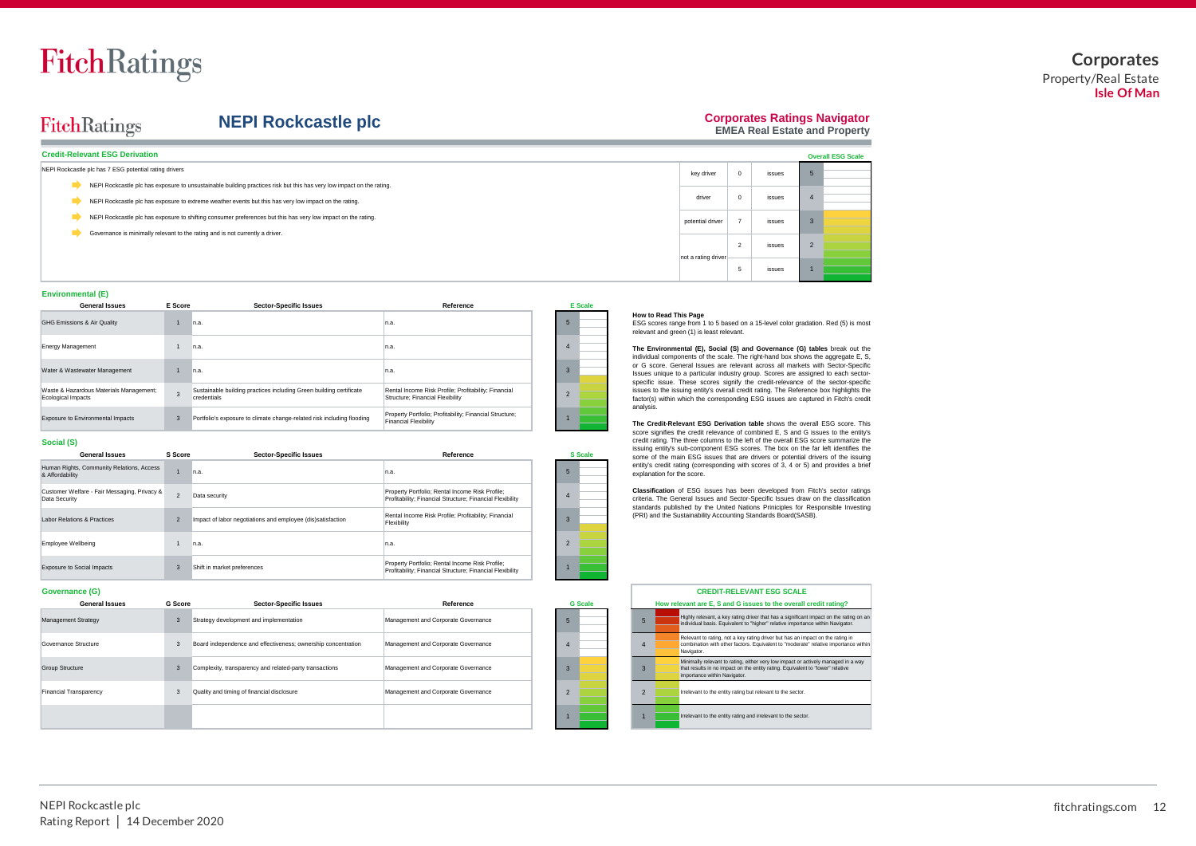### **Corporates** Property/Real Estate **Isle Of Man**

## FitchRatings

## **NEPI Rockcastle plc**

## **Corporates Ratings Navigator**

**EMEA Real Estate and Property**

| <b>Credit-Relevant ESG Derivation</b>                                                                                 |                     |                      |        | <b>Overall ESG Scale</b> |  |
|-----------------------------------------------------------------------------------------------------------------------|---------------------|----------------------|--------|--------------------------|--|
| NEPI Rockcastle plc has 7 ESG potential rating drivers                                                                | key driver          |                      | issues |                          |  |
| NEPI Rockcastle plc has exposure to unsustainable building practices risk but this has very low impact on the rating. |                     |                      |        |                          |  |
| NEPI Rockcastle plc has exposure to extreme weather events but this has very low impact on the rating.                | driver              | $\mathbf 0$          | issues |                          |  |
| NEPI Rockcastle plc has exposure to shifting consumer preferences but this has very low impact on the rating.         | potential driver    |                      | issues |                          |  |
| Governance is minimally relevant to the rating and is not currently a driver.                                         |                     |                      |        |                          |  |
|                                                                                                                       | not a rating driver | $\sim$<br>$\epsilon$ | issues |                          |  |
|                                                                                                                       |                     | 5                    | issues |                          |  |

### **Environmental (E)**

**E Score**

| <b>General Issues</b>                                         | E Score      | Sector-Specific Issues                                                             | Reference                                                                                |  | <b>E</b> Scale |
|---------------------------------------------------------------|--------------|------------------------------------------------------------------------------------|------------------------------------------------------------------------------------------|--|----------------|
| <b>GHG Emissions &amp; Air Quality</b>                        |              | In.a.                                                                              | n.a.                                                                                     |  |                |
| Energy Management                                             |              | n.a.                                                                               | n.a.                                                                                     |  |                |
| Water & Wastewater Management                                 |              | In.a.                                                                              | n.a.                                                                                     |  |                |
| Waste & Hazardous Materials Management;<br>Ecological Impacts | 3            | Sustainable building practices including Green building certificate<br>credentials | Rental Income Risk Profile; Profitability; Financial<br>Structure; Financial Flexibility |  |                |
| Exposure to Environmental Impacts                             | $\mathbf{3}$ | Portfolio's exposure to climate change-related risk including flooding             | Property Portfolio; Profitability; Financial Structure;<br><b>Financial Flexibility</b>  |  |                |

### **Social (S)**

| <b>General Issues</b>                                         | S Score                  | <b>Sector-Specific Issues</b>                               | Reference                                                                                                    |                |
|---------------------------------------------------------------|--------------------------|-------------------------------------------------------------|--------------------------------------------------------------------------------------------------------------|----------------|
| Human Rights, Community Relations, Access<br>& Affordability  |                          | n.a.                                                        | In.a.                                                                                                        | 5              |
| Customer Welfare - Fair Messaging, Privacy &<br>Data Security | $\mathcal{P}$            | Data security                                               | Property Portfolio; Rental Income Risk Profile;<br>Profitability: Financial Structure: Financial Flexibility | 4              |
| <b>Labor Relations &amp; Practices</b>                        | $\overline{\phantom{0}}$ | Impact of labor negotiations and employee (dis)satisfaction | Rental Income Risk Profile: Profitability: Financial<br>Flexibility                                          | $\mathbf{3}$   |
| Employee Wellbeing                                            |                          | n.a.                                                        | In.a.                                                                                                        | $\mathfrak{p}$ |
| <b>Exposure to Social Impacts</b>                             | 3                        | Shift in market preferences                                 | Property Portfolio; Rental Income Risk Profile;<br>Profitability: Financial Structure: Financial Flexibility |                |

|                | <b>S</b> Scale |
|----------------|----------------|
| 5              |                |
| 4              |                |
| 3              |                |
| $\overline{c}$ |                |

1

### **How to Read This Page**

ESG scores range from 1 to 5 based on a 15-level color gradation. Red (5) is most relevant and green (1) is least relevant.

**The Environmental (E), Social (S) and Governance (G) tables** break out the individual components of the scale. The right-hand box shows the aggregate E, S,<br>or G score. General Issues are relevant across all markets with Sector-Specific<br>Issues unique to a particular industry group. Scores are assi specific issue. These scores signify the credit-relevance of the sector-specific issues to the issuing entity's overall credit rating. The Reference box highlights the factor(s) within which the corresponding ESG issues are captured in Fitch's credit analysis.

**The Credit-Relevant ESG Derivation table** shows the overall ESG score. This score signifies the credit relevance of combined E, S and G issues to the entity's credit rating. The three columns to the left of the overall ESG score summarize the issuing entity's sub-component ESG scores. The box on the far left identifies the souring unity of the main ESG issues that are drivers or potential drivers of the issuing entity's credit rating (corresponding with scores of 3, 4 or 5) and provides a brief explanation for the score.

**Classification** of ESG issues has been developed from Fitch's sector ratings criteria. The General Issues and Sector-Specific Issues draw on the classification standards published by the United Nations Priniciples for Responsible Investing (PRI) and the Sustainability Accounting Standards Board(SASB).

### **Governance (G)**

| <b>General Issues</b>      | <b>G</b> Score | <b>Sector-Specific Issues</b>                                 | Reference                           |  | <b>G</b> Scale |  | How relevant are E. S and G issues to the overall                                                                                                       |
|----------------------------|----------------|---------------------------------------------------------------|-------------------------------------|--|----------------|--|---------------------------------------------------------------------------------------------------------------------------------------------------------|
| <b>Management Strategy</b> |                | Strategy development and implementation                       | Management and Corporate Governance |  |                |  | Highly relevant, a key rating driver that has a significan<br>individual basis. Equivalent to "higher" relative importar                                |
| Governance Structure       |                | Board independence and effectiveness; ownership concentration | Management and Corporate Governance |  |                |  | Relevant to rating, not a key rating driver but has an im<br>combination with other factors. Equivalent to "moderate<br>Navigator.                      |
| <b>Group Structure</b>     |                | Complexity, transparency and related-party transactions       | Management and Corporate Governance |  |                |  | Minimally relevant to rating, either very low impact or a<br>that results in no impact on the entity rating. Equivalent<br>importance within Navigator. |
| Financial Transparency     |                | Quality and timing of financial disclosure                    | Management and Corporate Governance |  |                |  | Irrelevant to the entity rating but relevant to the sector.                                                                                             |
|                            |                |                                                               |                                     |  |                |  | Irrelevant to the entity rating and irrelevant to the sector                                                                                            |

| <b>CREDIT-RELEVANT ESG SCALE</b>                                 |  |                                                                                                                                                                                                     |  |  |  |  |  |  |
|------------------------------------------------------------------|--|-----------------------------------------------------------------------------------------------------------------------------------------------------------------------------------------------------|--|--|--|--|--|--|
| How relevant are E. S and G issues to the overall credit rating? |  |                                                                                                                                                                                                     |  |  |  |  |  |  |
| 5                                                                |  | Highly relevant, a key rating driver that has a significant impact on the rating on an<br>individual basis. Equivalent to "higher" relative importance within Navigator.                            |  |  |  |  |  |  |
| 4                                                                |  | Relevant to rating, not a key rating driver but has an impact on the rating in<br>combination with other factors. Equivalent to "moderate" relative importance within<br>Navigator.                 |  |  |  |  |  |  |
| $\mathbf{3}$                                                     |  | Minimally relevant to rating, either very low impact or actively managed in a way<br>that results in no impact on the entity rating. Equivalent to "lower" relative<br>importance within Navigator. |  |  |  |  |  |  |
| $\mathfrak{p}$                                                   |  | Irrelevant to the entity rating but relevant to the sector.                                                                                                                                         |  |  |  |  |  |  |
|                                                                  |  | Irrelevant to the entity rating and irrelevant to the sector.                                                                                                                                       |  |  |  |  |  |  |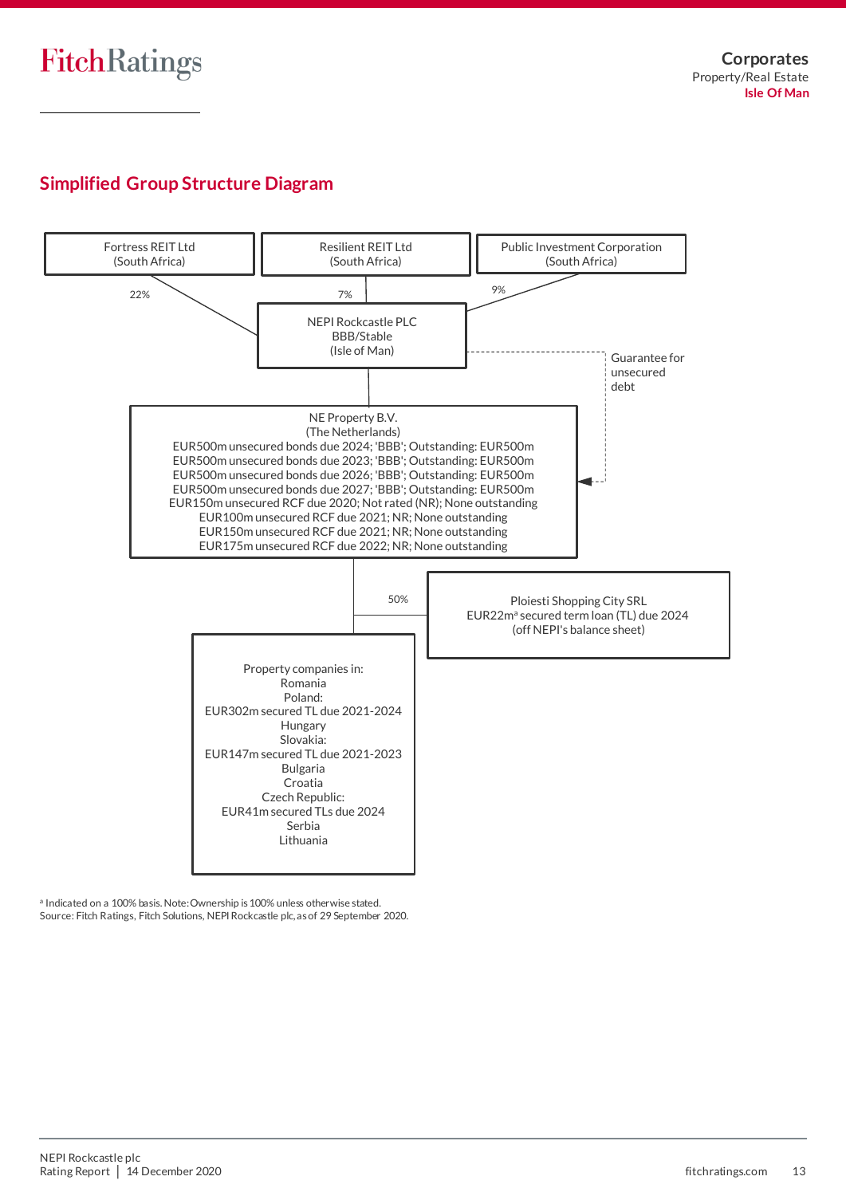## **Simplified Group Structure Diagram**



a Indicated on a 100% basis. Note: Ownership is 100% unless otherwise stated. Source: Fitch Ratings, Fitch Solutions, NEPI Rockcastle plc, as of 29 September 2020.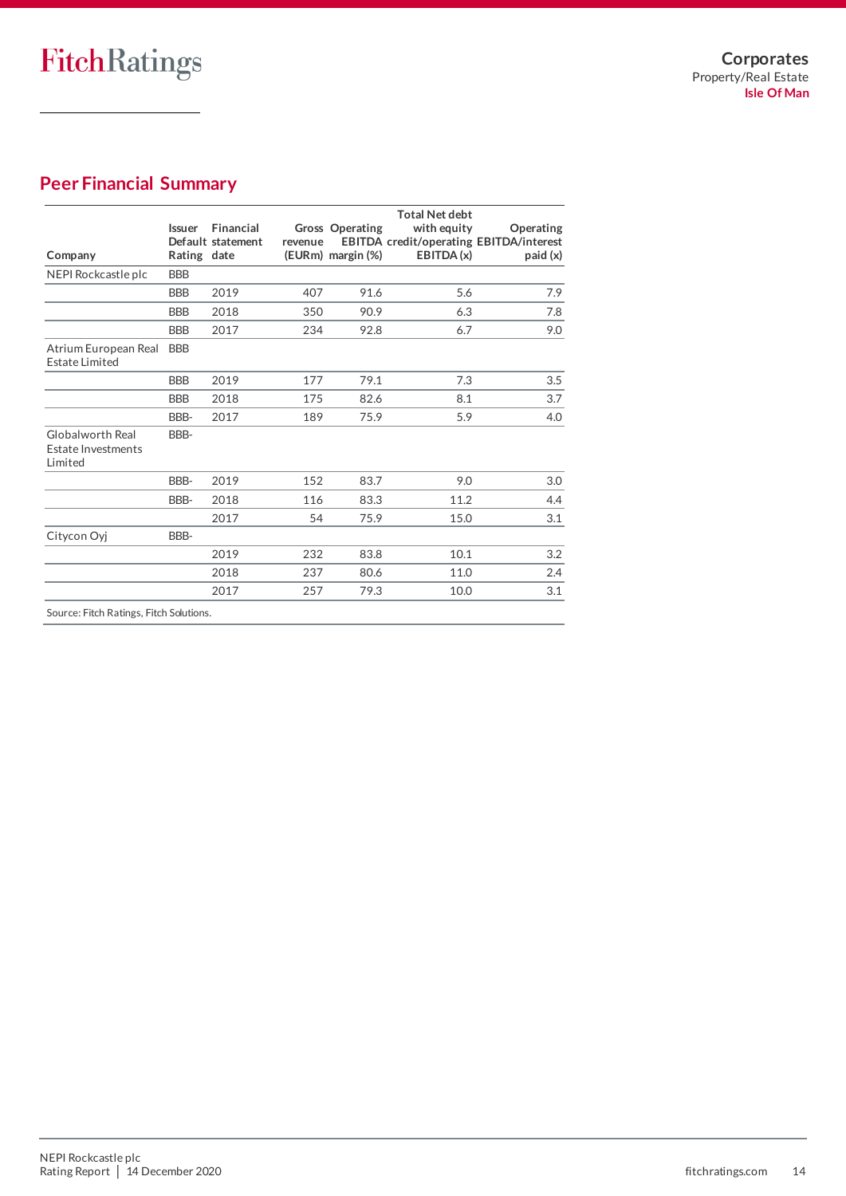## **Peer Financial Summary**

| Company                                           | Issuer<br>Rating date | Financial<br>Default statement | revenue | <b>Gross Operating</b><br>(EURm) margin (%) | <b>Total Net debt</b><br>with equity<br>EBITDA(x) | Operating<br><b>EBITDA</b> credit/operating EBITDA/interest<br>paid (x) |
|---------------------------------------------------|-----------------------|--------------------------------|---------|---------------------------------------------|---------------------------------------------------|-------------------------------------------------------------------------|
| NEPI Rockcastle plc                               | <b>BBB</b>            |                                |         |                                             |                                                   |                                                                         |
|                                                   | <b>BBB</b>            | 2019                           | 407     | 91.6                                        | 5.6                                               | 7.9                                                                     |
|                                                   | <b>BBB</b>            | 2018                           | 350     | 90.9                                        | 6.3                                               | 7.8                                                                     |
|                                                   | <b>BBB</b>            | 2017                           | 234     | 92.8                                        | 6.7                                               | 9.0                                                                     |
| Atrium European Real<br><b>Estate Limited</b>     | <b>BBB</b>            |                                |         |                                             |                                                   |                                                                         |
|                                                   | <b>BBB</b>            | 2019                           | 177     | 79.1                                        | 7.3                                               | 3.5                                                                     |
|                                                   | <b>BBB</b>            | 2018                           | 175     | 82.6                                        | 8.1                                               | 3.7                                                                     |
|                                                   | BBB-                  | 2017                           | 189     | 75.9                                        | 5.9                                               | 4.0                                                                     |
| Globalworth Real<br>Estate Investments<br>Limited | BBB-                  |                                |         |                                             |                                                   |                                                                         |
|                                                   | BBB-                  | 2019                           | 152     | 83.7                                        | 9.0                                               | $3.0\,$                                                                 |
|                                                   | BBB-                  | 2018                           | 116     | 83.3                                        | 11.2                                              | 4.4                                                                     |
|                                                   |                       | 2017                           | 54      | 75.9                                        | 15.0                                              | 3.1                                                                     |
| Citycon Oyj                                       | BBB-                  |                                |         |                                             |                                                   |                                                                         |
|                                                   |                       | 2019                           | 232     | 83.8                                        | 10.1                                              | 3.2                                                                     |
|                                                   |                       | 2018                           | 237     | 80.6                                        | 11.0                                              | 2.4                                                                     |
|                                                   |                       | 2017                           | 257     | 79.3                                        | 10.0                                              | 3.1                                                                     |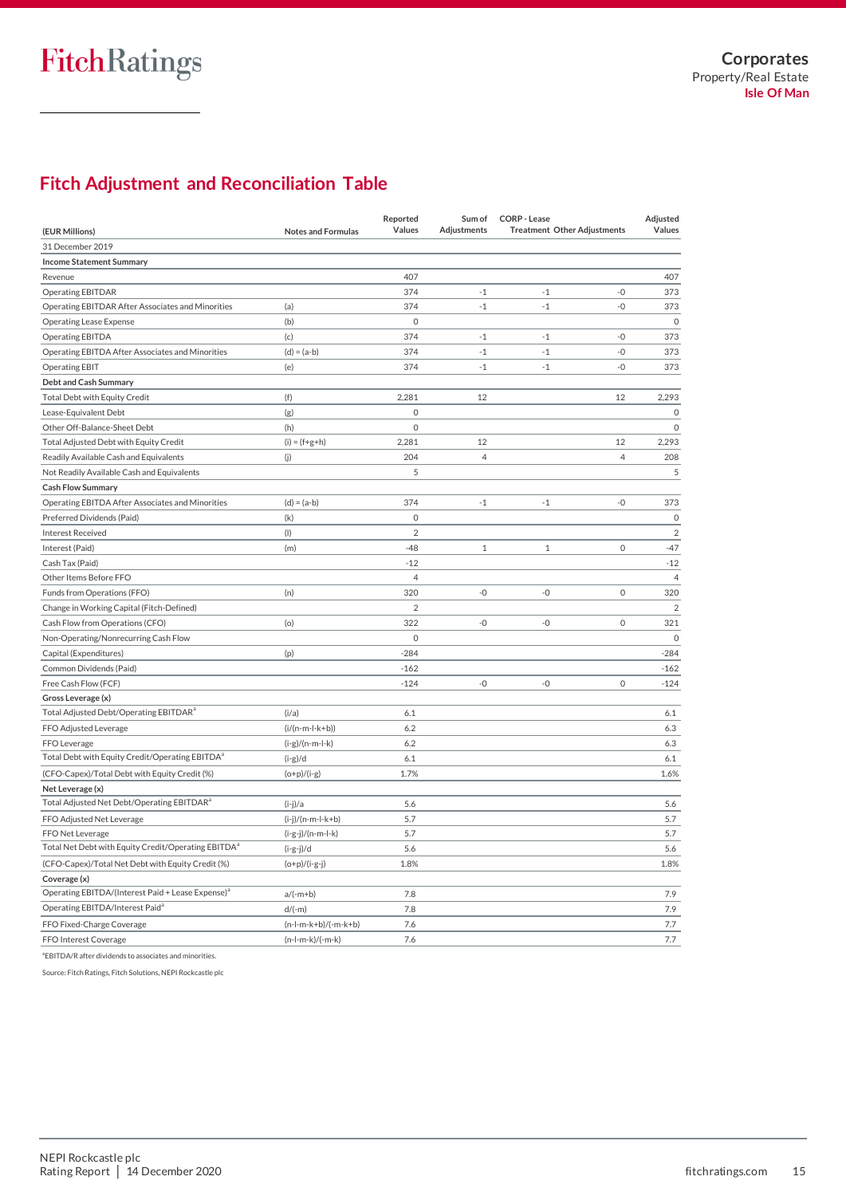## **Fitch Adjustment and Reconciliation Table**

|                                                                 |                           | Reported            | Sum of         | <b>CORP - Lease</b>                | Adjusted       |
|-----------------------------------------------------------------|---------------------------|---------------------|----------------|------------------------------------|----------------|
| (EUR Millions)                                                  | <b>Notes and Formulas</b> | Values              | Adjustments    | <b>Treatment Other Adjustments</b> | Values         |
| 31 December 2019                                                |                           |                     |                |                                    |                |
| <b>Income Statement Summary</b>                                 |                           |                     |                |                                    |                |
| Revenue                                                         |                           | 407                 |                |                                    | 407            |
| Operating EBITDAR                                               |                           | 374                 | $-1$           | $-1$<br>$-0$                       | 373            |
| Operating EBITDAR After Associates and Minorities               | (a)                       | 374                 | $-1$           | $^{\mbox{{\small -1}}}$<br>$-0$    | 373            |
| <b>Operating Lease Expense</b>                                  | (b)                       | $\mathbf 0$         |                |                                    | $\mathbf 0$    |
| <b>Operating EBITDA</b>                                         | (c)                       | 374                 | $-1$           | $-0$<br>$-1$                       | 373            |
| Operating EBITDA After Associates and Minorities                | $(d) = (a-b)$             | 374                 | $-1$           | $-1$<br>$-0$                       | 373            |
| <b>Operating EBIT</b>                                           | (e)                       | 374                 | $-1$           | $^{\mbox{{\small -1}}}$<br>$-0$    | 373            |
| Debt and Cash Summary                                           |                           |                     |                |                                    |                |
| Total Debt with Equity Credit                                   | (f)                       | 2,281               | 12             | 12                                 | 2,293          |
| Lease-Equivalent Debt                                           | (g)                       | $\mathbf 0$         |                |                                    | $\circ$        |
| Other Off-Balance-Sheet Debt                                    | (h)                       | $\mathsf{O}\xspace$ |                |                                    | $\mathbf 0$    |
| Total Adjusted Debt with Equity Credit                          | $(i) = (f+g+h)$           | 2,281               | 12             | 12                                 | 2,293          |
| Readily Available Cash and Equivalents                          | (i)                       | 204                 | $\overline{4}$ | $\overline{4}$                     | 208            |
| Not Readily Available Cash and Equivalents                      |                           | 5                   |                |                                    | 5              |
| <b>Cash Flow Summary</b>                                        |                           |                     |                |                                    |                |
| Operating EBITDA After Associates and Minorities                | $(d) = (a-b)$             | 374                 | $-1$           | $-0$<br>$-1$                       | 373            |
| Preferred Dividends (Paid)                                      | (k)                       | $\mathbf 0$         |                |                                    | $\mathbf 0$    |
| <b>Interest Received</b>                                        | (1)                       | $\overline{2}$      |                |                                    | $\overline{2}$ |
| Interest (Paid)                                                 | (m)                       | $-48$               | $\mathbf{1}$   | $\mathbf 0$<br>$\mathbf{1}$        | $-47$          |
| Cash Tax (Paid)                                                 |                           | $-12$               |                |                                    | $-12$          |
| Other Items Before FFO                                          |                           | $\overline{4}$      |                |                                    | $\overline{4}$ |
| Funds from Operations (FFO)                                     | (n)                       | 320                 | -0             | $\mathsf{O}\xspace$<br>$-0$        | 320            |
| Change in Working Capital (Fitch-Defined)                       |                           | $\overline{2}$      |                |                                    | $\overline{2}$ |
| Cash Flow from Operations (CFO)                                 | (o)                       | 322                 | $-0$           | $-0$<br>$\mathbf 0$                | 321            |
| Non-Operating/Nonrecurring Cash Flow                            |                           | $\mathbf 0$         |                |                                    | $\mathbf 0$    |
| Capital (Expenditures)                                          | (p)                       | $-284$              |                |                                    | $-284$         |
| Common Dividends (Paid)                                         |                           | $-162$              |                |                                    | $-162$         |
| Free Cash Flow (FCF)                                            |                           | $-124$              | $-0$           | $\mathsf{O}\xspace$<br>$-0$        | $-124$         |
| Gross Leverage (x)                                              |                           |                     |                |                                    |                |
| Total Adjusted Debt/Operating EBITDAR <sup>a</sup>              | (i/a)                     | 6.1                 |                |                                    | 6.1            |
| FFO Adjusted Leverage                                           | $(i/(n-m-l-k+b))$         | 6.2                 |                |                                    | 6.3            |
| FFO Leverage                                                    | $(i-g)/(n-m-l-k)$         | 6.2                 |                |                                    | 6.3            |
| Total Debt with Equity Credit/Operating EBITDA <sup>a</sup>     | $(i-g)/d$                 | 6.1                 |                |                                    | 6.1            |
| (CFO-Capex)/Total Debt with Equity Credit (%)                   | $(o+p)/(i-g)$             | 1.7%                |                |                                    | 1.6%           |
| Net Leverage (x)                                                |                           |                     |                |                                    |                |
| Total Adjusted Net Debt/Operating EBITDAR <sup>a</sup>          | $(i-j)/a$                 | 5.6                 |                |                                    | 5.6            |
| FFO Adjusted Net Leverage                                       | $(i-j)/(n-m-l-k+b)$       | 5.7                 |                |                                    | 5.7            |
| FFO Net Leverage                                                | (i-g-j)/(n-m-l-k)         | 5.7                 |                |                                    | 5.7            |
| Total Net Debt with Equity Credit/Operating EBITDA <sup>a</sup> | $(i-g-j)/d$               | 5.6                 |                |                                    | 5.6            |
| (CFO-Capex)/Total Net Debt with Equity Credit (%)               | $(o+p)/(i-g-j)$           | 1.8%                |                |                                    | 1.8%           |
| Coverage (x)                                                    |                           |                     |                |                                    |                |
| Operating EBITDA/(Interest Paid + Lease Expense) <sup>a</sup>   | $a/(-m+b)$                | 7.8                 |                |                                    | 7.9            |
| Operating EBITDA/Interest Paid <sup>a</sup>                     | $d/(-m)$                  | 7.8                 |                |                                    | 7.9            |
| FFO Fixed-Charge Coverage                                       | $(n-l-m-k+b)/(-m-k+b)$    | 7.6                 |                |                                    | 7.7            |
| FFO Interest Coverage                                           | $(n-l-m-k)/(-m-k)$        | 7.6                 |                |                                    | 7.7            |

<sup>a</sup>EBITDA/R after dividends to associates and minorities.

Source: Fitch Ratings, Fitch Solutions, NEPI Rockcastle plc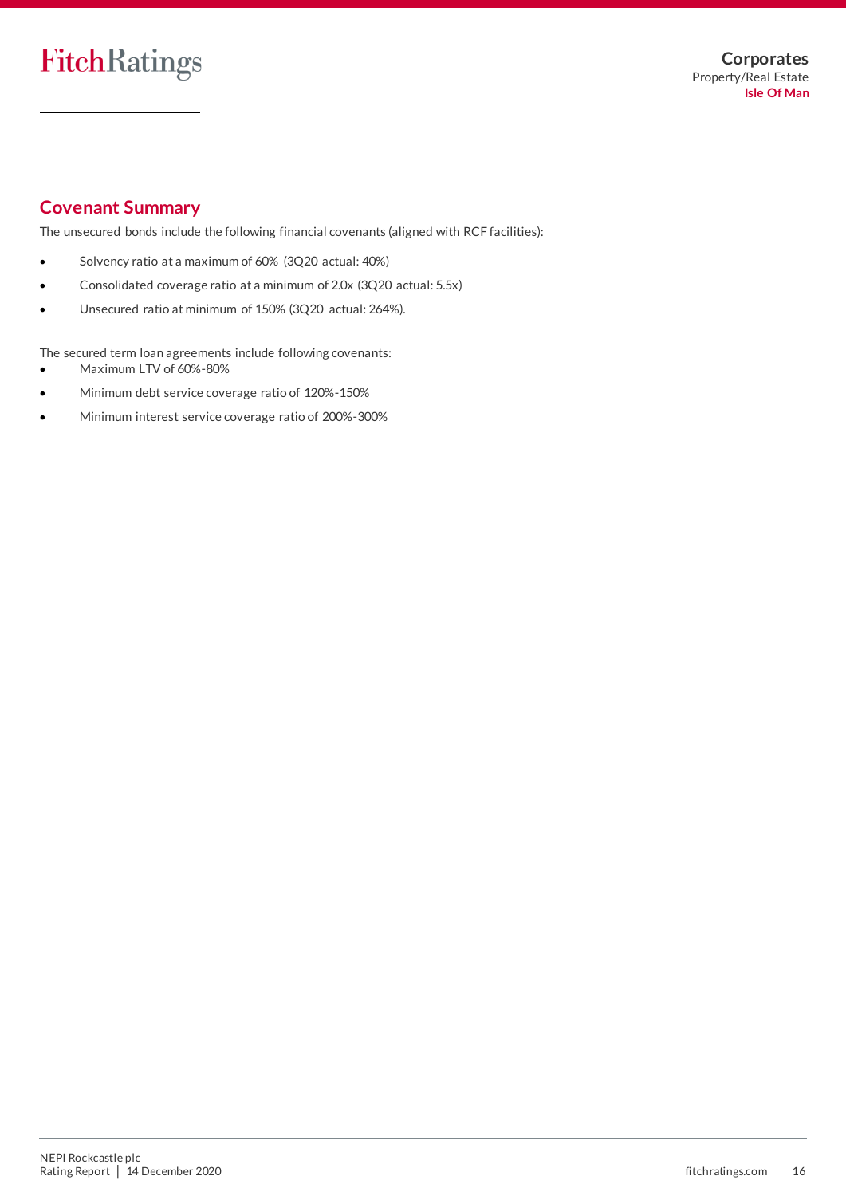## **Covenant Summary**

The unsecured bonds include the following financial covenants (aligned with RCF facilities):

- Solvency ratio at a maximum of 60% (3Q20 actual: 40%)
- Consolidated coverage ratio at a minimum of 2.0x (3Q20 actual: 5.5x)
- Unsecured ratio at minimum of 150% (3Q20 actual: 264%).

The secured term loan agreements include following covenants:

- Maximum LTV of 60%-80%
- Minimum debt service coverage ratio of 120%-150%
- Minimum interest service coverage ratio of 200%-300%